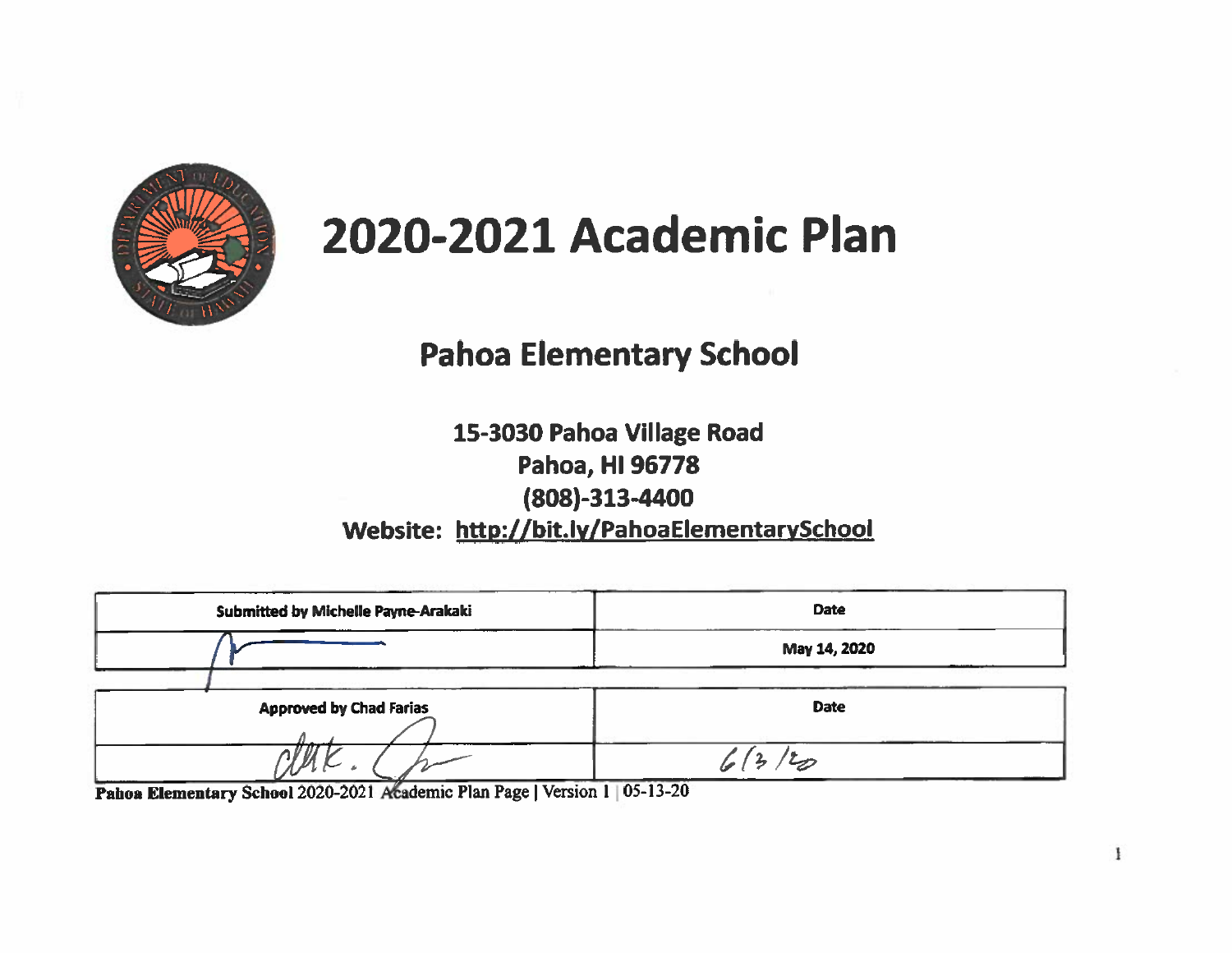

# 2020-2021 Academic Plan

# **Pahoa Elementary School**

15-3030 Pahoa Village Road Pahoa, HI 96778  $(808)-313-4400$ Website: http://bit.ly/PahoaElementarySchool

| Submitted by Michelle Payne-Arakaki | <b>Date</b>  |  |  |
|-------------------------------------|--------------|--|--|
|                                     | May 14, 2020 |  |  |
| <b>Approved by Chad Farias</b>      | <b>Date</b>  |  |  |
|                                     |              |  |  |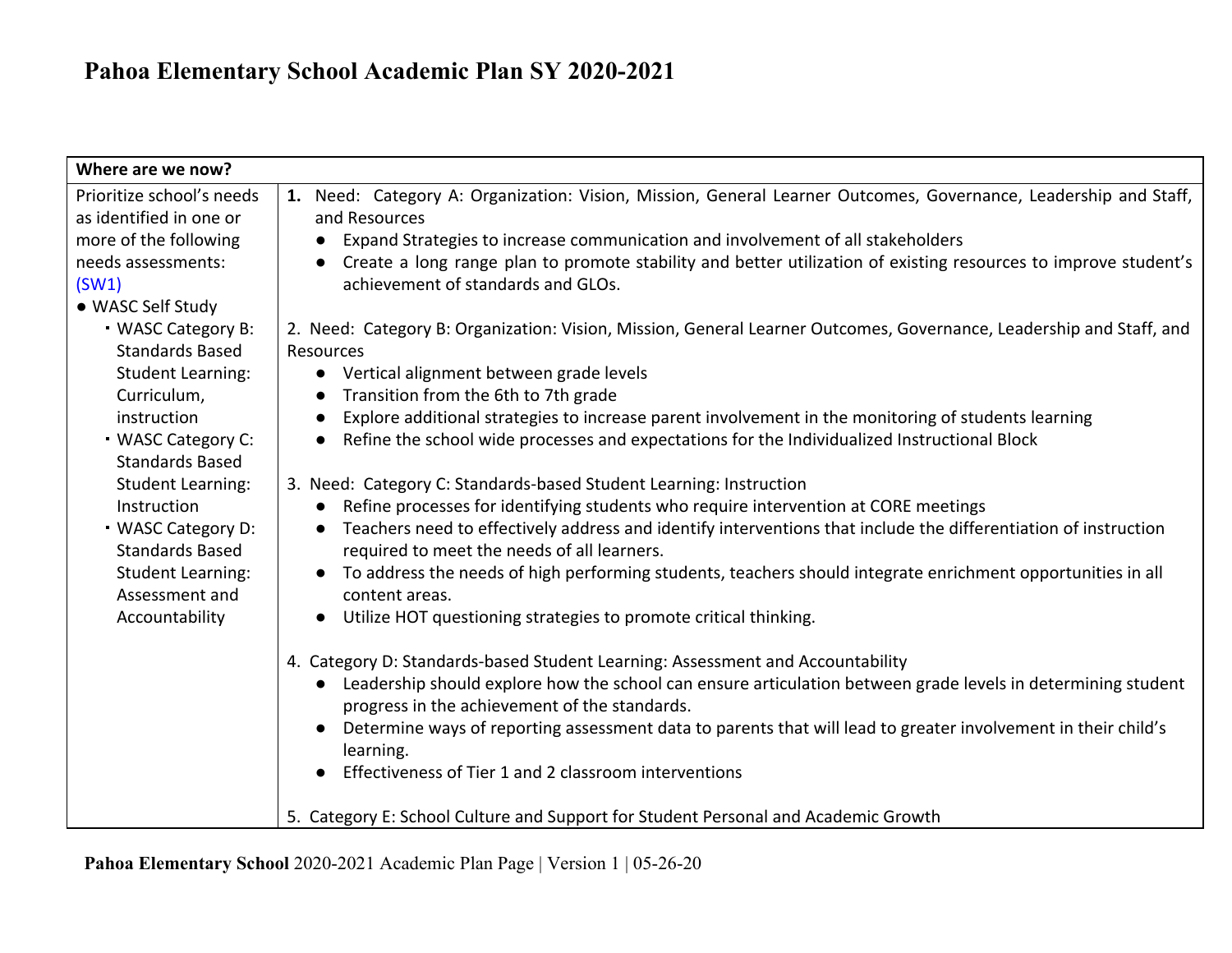| Where are we now?         |                                                                                                                              |
|---------------------------|------------------------------------------------------------------------------------------------------------------------------|
| Prioritize school's needs | 1. Need: Category A: Organization: Vision, Mission, General Learner Outcomes, Governance, Leadership and Staff,              |
| as identified in one or   | and Resources                                                                                                                |
| more of the following     | Expand Strategies to increase communication and involvement of all stakeholders                                              |
| needs assessments:        | Create a long range plan to promote stability and better utilization of existing resources to improve student's              |
| (SW1)                     | achievement of standards and GLOs.                                                                                           |
| • WASC Self Study         |                                                                                                                              |
| <b>WASC Category B:</b>   | 2. Need: Category B: Organization: Vision, Mission, General Learner Outcomes, Governance, Leadership and Staff, and          |
| <b>Standards Based</b>    | Resources                                                                                                                    |
| <b>Student Learning:</b>  | Vertical alignment between grade levels<br>$\bullet$                                                                         |
| Curriculum,               | Transition from the 6th to 7th grade<br>$\bullet$                                                                            |
| instruction               | Explore additional strategies to increase parent involvement in the monitoring of students learning<br>$\bullet$             |
| <b>WASC Category C:</b>   | Refine the school wide processes and expectations for the Individualized Instructional Block<br>$\bullet$                    |
| <b>Standards Based</b>    |                                                                                                                              |
| <b>Student Learning:</b>  | 3. Need: Category C: Standards-based Student Learning: Instruction                                                           |
| Instruction               | Refine processes for identifying students who require intervention at CORE meetings<br>$\bullet$                             |
| <b>WASC Category D:</b>   | Teachers need to effectively address and identify interventions that include the differentiation of instruction<br>$\bullet$ |
| <b>Standards Based</b>    | required to meet the needs of all learners.                                                                                  |
| <b>Student Learning:</b>  | To address the needs of high performing students, teachers should integrate enrichment opportunities in all                  |
| Assessment and            | content areas.                                                                                                               |
| Accountability            | Utilize HOT questioning strategies to promote critical thinking.                                                             |
|                           | 4. Category D: Standards-based Student Learning: Assessment and Accountability                                               |
|                           | Leadership should explore how the school can ensure articulation between grade levels in determining student<br>$\bullet$    |
|                           | progress in the achievement of the standards.                                                                                |
|                           | Determine ways of reporting assessment data to parents that will lead to greater involvement in their child's                |
|                           | learning.                                                                                                                    |
|                           | Effectiveness of Tier 1 and 2 classroom interventions                                                                        |
|                           |                                                                                                                              |
|                           | 5. Category E: School Culture and Support for Student Personal and Academic Growth                                           |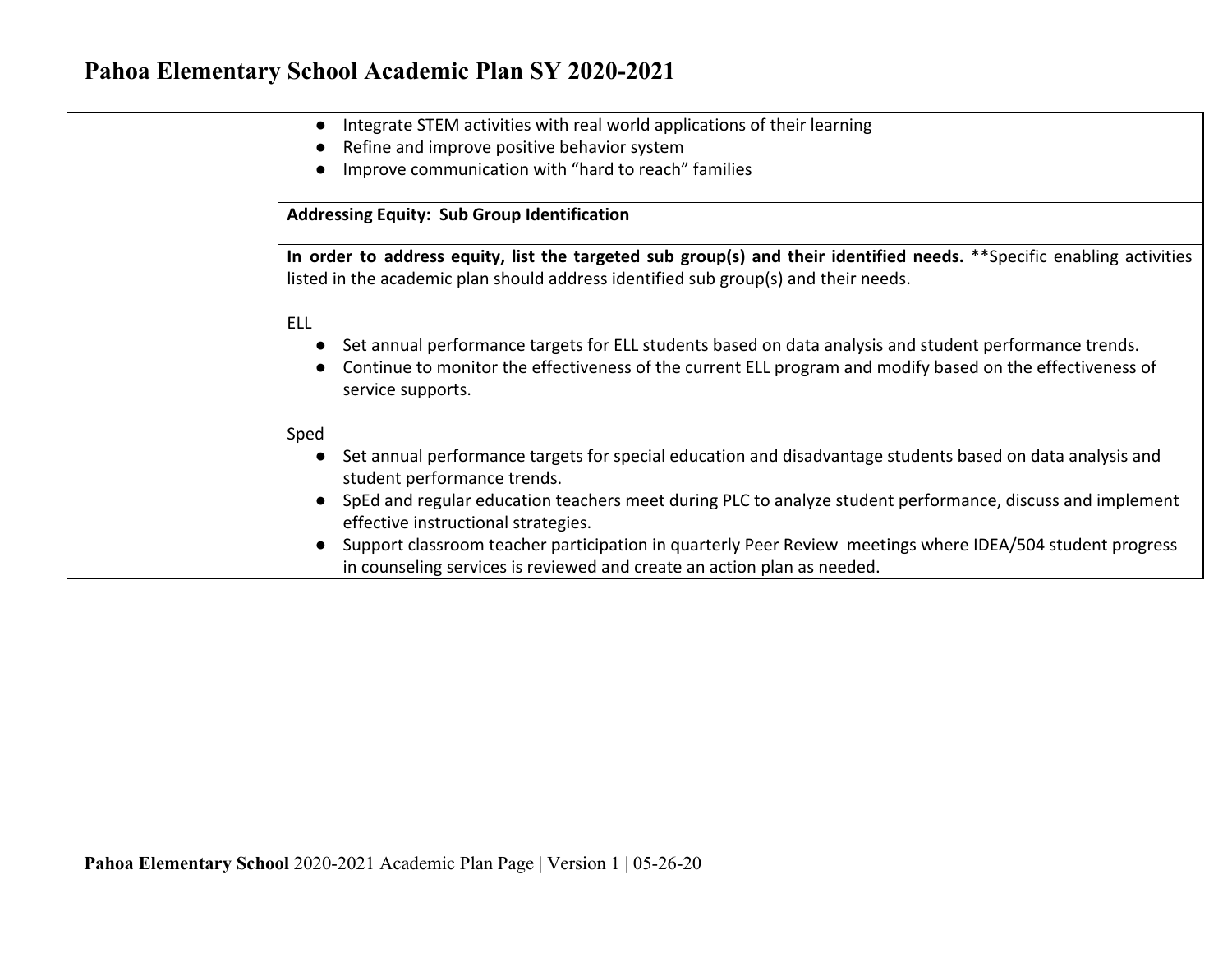| Integrate STEM activities with real world applications of their learning<br>$\bullet$                                                                                                                                                                  |
|--------------------------------------------------------------------------------------------------------------------------------------------------------------------------------------------------------------------------------------------------------|
| Refine and improve positive behavior system                                                                                                                                                                                                            |
| Improve communication with "hard to reach" families                                                                                                                                                                                                    |
| <b>Addressing Equity: Sub Group Identification</b>                                                                                                                                                                                                     |
| In order to address equity, list the targeted sub group(s) and their identified needs. **Specific enabling activities<br>listed in the academic plan should address identified sub group(s) and their needs.                                           |
| <b>ELL</b><br>Set annual performance targets for ELL students based on data analysis and student performance trends.<br>Continue to monitor the effectiveness of the current ELL program and modify based on the effectiveness of<br>service supports. |
| Sped<br>Set annual performance targets for special education and disadvantage students based on data analysis and<br>student performance trends.                                                                                                       |
| SpEd and regular education teachers meet during PLC to analyze student performance, discuss and implement<br>effective instructional strategies.                                                                                                       |
| Support classroom teacher participation in quarterly Peer Review meetings where IDEA/504 student progress<br>in counseling services is reviewed and create an action plan as needed.                                                                   |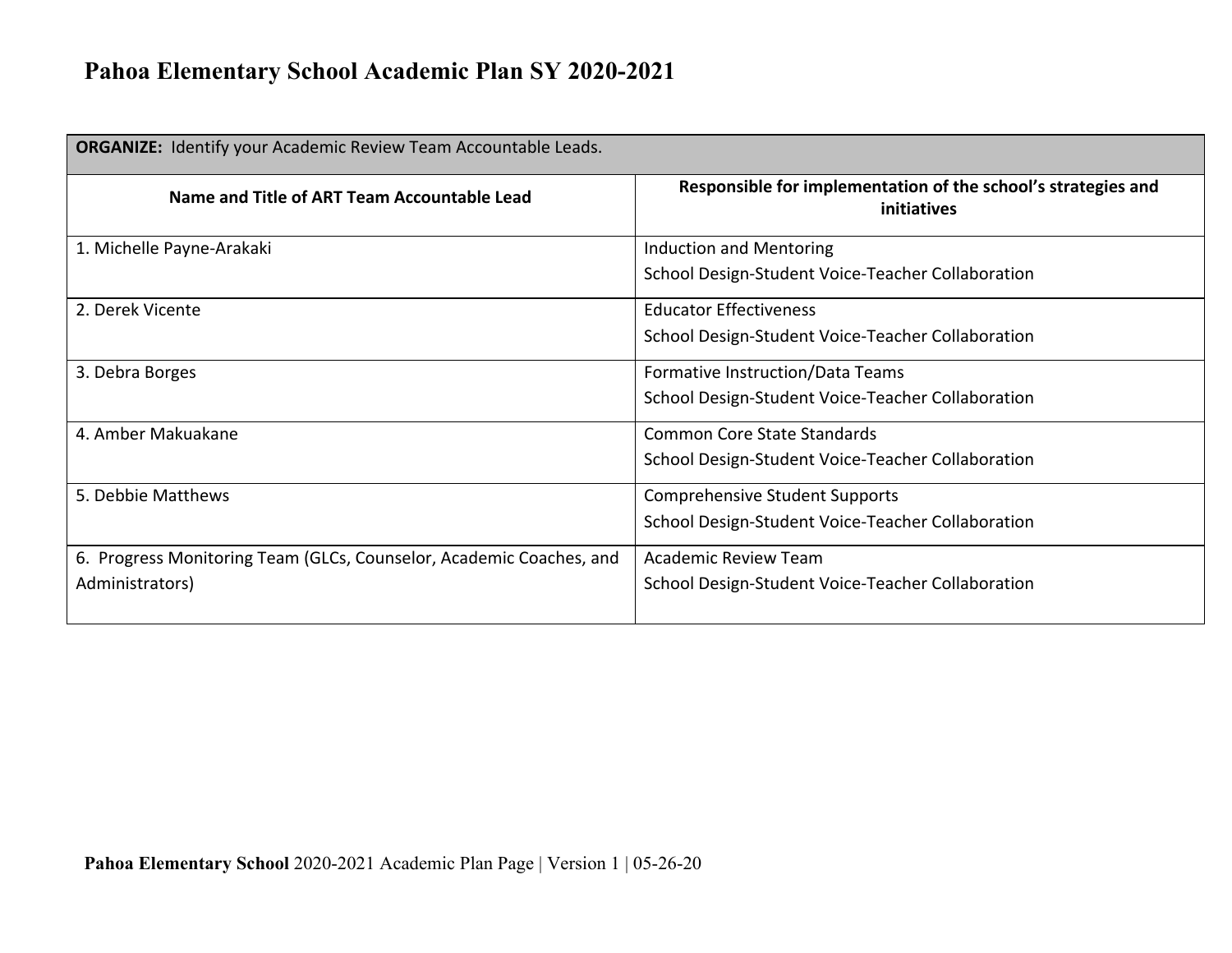| <b>ORGANIZE:</b> Identify your Academic Review Team Accountable Leads. |                                                                              |  |  |
|------------------------------------------------------------------------|------------------------------------------------------------------------------|--|--|
| Name and Title of ART Team Accountable Lead                            | Responsible for implementation of the school's strategies and<br>initiatives |  |  |
| 1. Michelle Payne-Arakaki                                              | Induction and Mentoring                                                      |  |  |
|                                                                        | School Design-Student Voice-Teacher Collaboration                            |  |  |
| 2. Derek Vicente                                                       | <b>Educator Effectiveness</b>                                                |  |  |
|                                                                        | School Design-Student Voice-Teacher Collaboration                            |  |  |
| 3. Debra Borges                                                        | Formative Instruction/Data Teams                                             |  |  |
|                                                                        | School Design-Student Voice-Teacher Collaboration                            |  |  |
| 4. Amber Makuakane                                                     | <b>Common Core State Standards</b>                                           |  |  |
|                                                                        | School Design-Student Voice-Teacher Collaboration                            |  |  |
| 5. Debbie Matthews                                                     | <b>Comprehensive Student Supports</b>                                        |  |  |
|                                                                        | School Design-Student Voice-Teacher Collaboration                            |  |  |
| 6. Progress Monitoring Team (GLCs, Counselor, Academic Coaches, and    | <b>Academic Review Team</b>                                                  |  |  |
| Administrators)                                                        | School Design-Student Voice-Teacher Collaboration                            |  |  |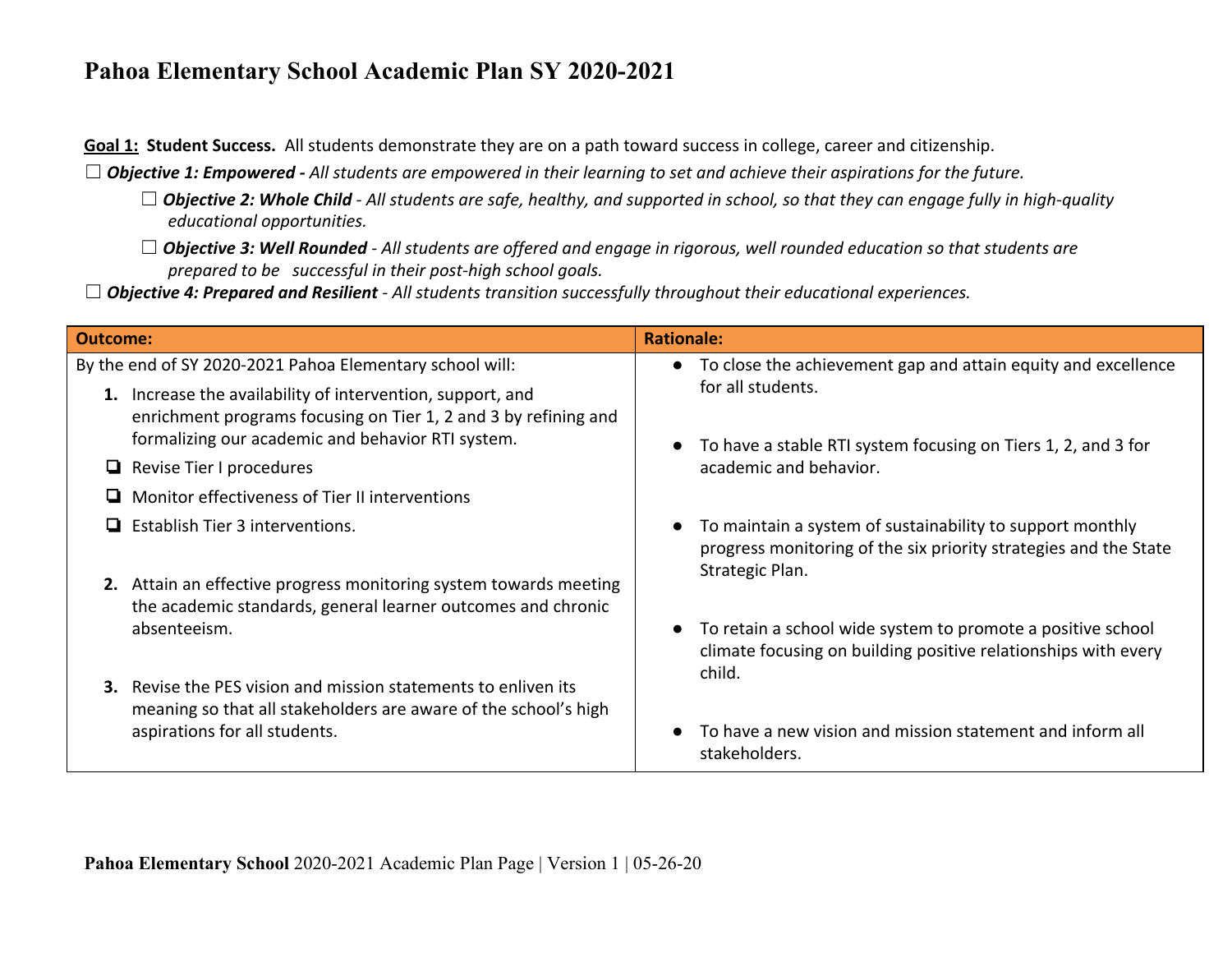**Goal 1: Student Success.** All students demonstrate they are on a path toward success in college, career and citizenship.

☐ *Objective 1: Empowered - All students are empowered in their learning to set and achieve their aspirations for the future.*

- □ **Objective 2: Whole Child** All students are safe, healthy, and supported in school, so that they can engage fully in high-quality *educational opportunities.*
- ☐ *Objective 3: Well Rounded All students are offered and engage in rigorous, well rounded education so that students are prepared to be successful in their post-high school goals.*
- ☐ *Objective 4: Prepared and Resilient All students transition successfully throughout their educational experiences.*

| <b>Outcome:</b>                                                                                                                                                                    | <b>Rationale:</b>                                                                                                                                |  |  |
|------------------------------------------------------------------------------------------------------------------------------------------------------------------------------------|--------------------------------------------------------------------------------------------------------------------------------------------------|--|--|
| By the end of SY 2020-2021 Pahoa Elementary school will:                                                                                                                           | • To close the achievement gap and attain equity and excellence                                                                                  |  |  |
| 1. Increase the availability of intervention, support, and<br>enrichment programs focusing on Tier 1, 2 and 3 by refining and<br>formalizing our academic and behavior RTI system. | for all students.<br>To have a stable RTI system focusing on Tiers 1, 2, and 3 for                                                               |  |  |
| $\Box$ Revise Tier I procedures                                                                                                                                                    | academic and behavior.                                                                                                                           |  |  |
| Monitor effectiveness of Tier II interventions<br>ப                                                                                                                                |                                                                                                                                                  |  |  |
| $\Box$ Establish Tier 3 interventions.                                                                                                                                             | To maintain a system of sustainability to support monthly<br>progress monitoring of the six priority strategies and the State<br>Strategic Plan. |  |  |
| 2. Attain an effective progress monitoring system towards meeting<br>the academic standards, general learner outcomes and chronic                                                  |                                                                                                                                                  |  |  |
| absenteeism.                                                                                                                                                                       | To retain a school wide system to promote a positive school<br>climate focusing on building positive relationships with every<br>child.          |  |  |
| Revise the PES vision and mission statements to enliven its<br>3.<br>meaning so that all stakeholders are aware of the school's high                                               |                                                                                                                                                  |  |  |
| aspirations for all students.                                                                                                                                                      | To have a new vision and mission statement and inform all<br>stakeholders.                                                                       |  |  |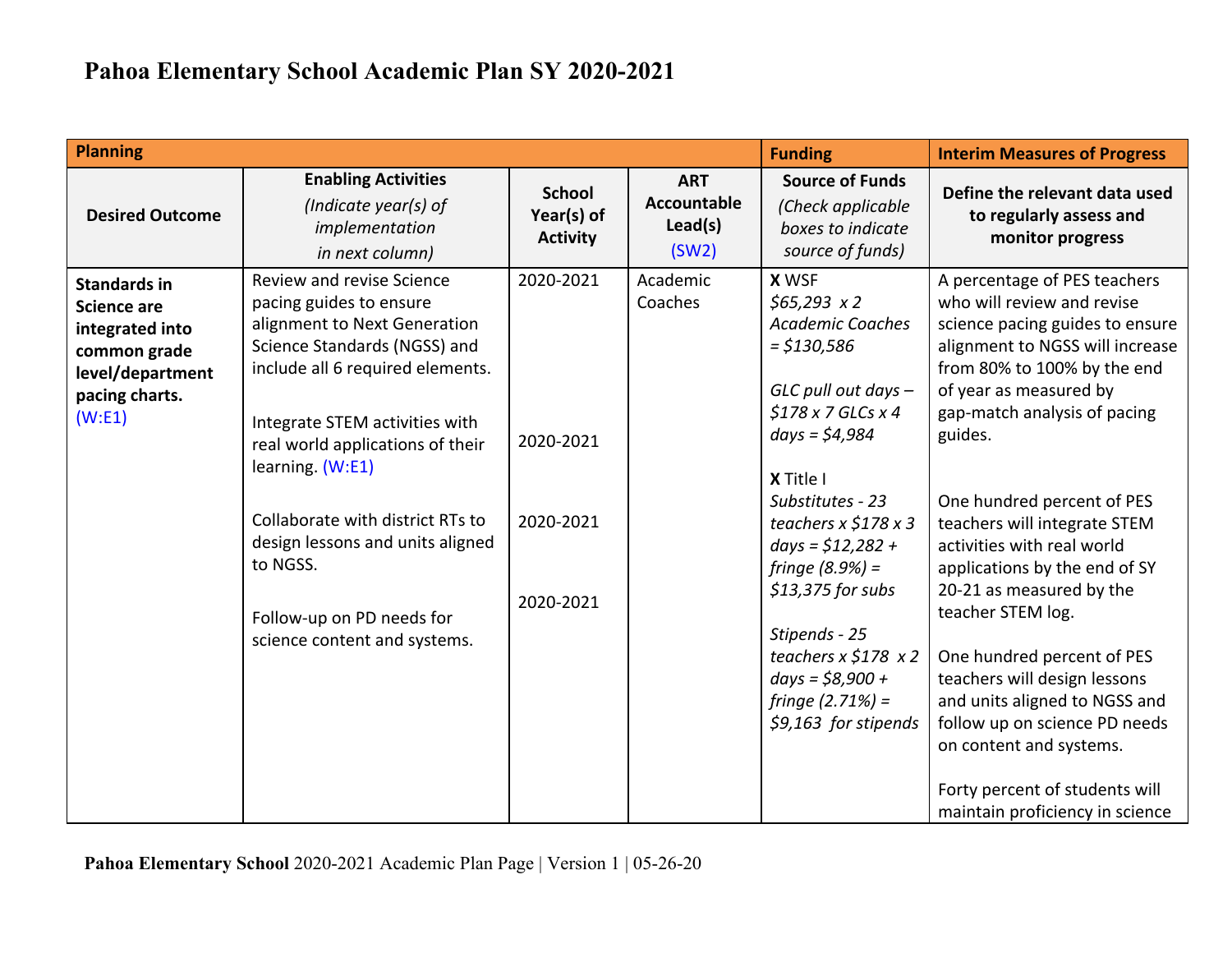| <b>Planning</b>                                                                                                               |                                                                                                                                                                                                                                                                                                                                                                                                     |                                                  |                                                      | <b>Funding</b>                                                                                                                                                                                                                                                                                                                                                                                   | <b>Interim Measures of Progress</b>                                                                                                                                                                                                                                                                                                                                                                                                                                                                                                                                                                                                                |
|-------------------------------------------------------------------------------------------------------------------------------|-----------------------------------------------------------------------------------------------------------------------------------------------------------------------------------------------------------------------------------------------------------------------------------------------------------------------------------------------------------------------------------------------------|--------------------------------------------------|------------------------------------------------------|--------------------------------------------------------------------------------------------------------------------------------------------------------------------------------------------------------------------------------------------------------------------------------------------------------------------------------------------------------------------------------------------------|----------------------------------------------------------------------------------------------------------------------------------------------------------------------------------------------------------------------------------------------------------------------------------------------------------------------------------------------------------------------------------------------------------------------------------------------------------------------------------------------------------------------------------------------------------------------------------------------------------------------------------------------------|
| <b>Desired Outcome</b>                                                                                                        | <b>Enabling Activities</b><br>(Indicate year(s) of<br>implementation<br>in next column)                                                                                                                                                                                                                                                                                                             | <b>School</b><br>Year(s) of<br><b>Activity</b>   | <b>ART</b><br><b>Accountable</b><br>Lead(s)<br>(SW2) | <b>Source of Funds</b><br>(Check applicable<br>boxes to indicate<br>source of funds)                                                                                                                                                                                                                                                                                                             | Define the relevant data used<br>to regularly assess and<br>monitor progress                                                                                                                                                                                                                                                                                                                                                                                                                                                                                                                                                                       |
| <b>Standards in</b><br><b>Science are</b><br>integrated into<br>common grade<br>level/department<br>pacing charts.<br>(W: E1) | Review and revise Science<br>pacing guides to ensure<br>alignment to Next Generation<br>Science Standards (NGSS) and<br>include all 6 required elements.<br>Integrate STEM activities with<br>real world applications of their<br>learning. (W:E1)<br>Collaborate with district RTs to<br>design lessons and units aligned<br>to NGSS.<br>Follow-up on PD needs for<br>science content and systems. | 2020-2021<br>2020-2021<br>2020-2021<br>2020-2021 | Academic<br>Coaches                                  | <b>X WSF</b><br>$$65,293 \times 2$$<br><b>Academic Coaches</b><br>$=$ \$130,586<br>GLC pull out days -<br>$$178x7$ GLCs $x4$<br>$days = $4,984$<br>X Title I<br>Substitutes - 23<br>teachers $x \leq 178 x 3$<br>$days = $12,282 +$<br>fringe $(8.9%) =$<br>\$13,375 for subs<br>Stipends - 25<br>teachers $x \leq 178$ $x 2$<br>$days = $8,900 +$<br>fringe $(2.71%) =$<br>\$9,163 for stipends | A percentage of PES teachers<br>who will review and revise<br>science pacing guides to ensure<br>alignment to NGSS will increase<br>from 80% to 100% by the end<br>of year as measured by<br>gap-match analysis of pacing<br>guides.<br>One hundred percent of PES<br>teachers will integrate STEM<br>activities with real world<br>applications by the end of SY<br>20-21 as measured by the<br>teacher STEM log.<br>One hundred percent of PES<br>teachers will design lessons<br>and units aligned to NGSS and<br>follow up on science PD needs<br>on content and systems.<br>Forty percent of students will<br>maintain proficiency in science |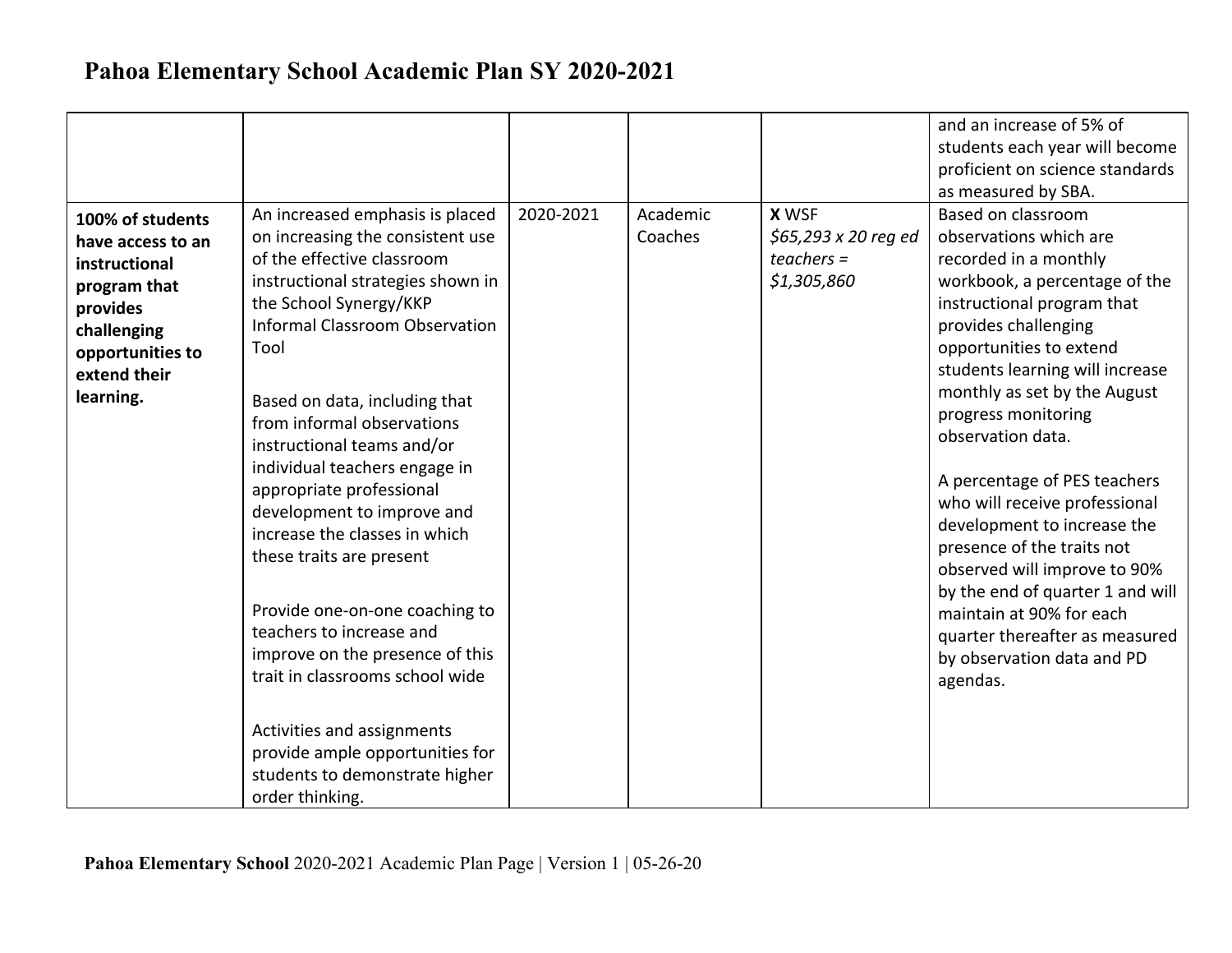|                                                                                                                                                    |                                                                                                                                                                                                                                                                                                                                                                                                                                                                                                                                                                                                                                                                                                                                  |           |                     |                                                                    | and an increase of 5% of<br>students each year will become<br>proficient on science standards<br>as measured by SBA.                                                                                                                                                                                                                                                                                                                                                                                                                                                                                             |
|----------------------------------------------------------------------------------------------------------------------------------------------------|----------------------------------------------------------------------------------------------------------------------------------------------------------------------------------------------------------------------------------------------------------------------------------------------------------------------------------------------------------------------------------------------------------------------------------------------------------------------------------------------------------------------------------------------------------------------------------------------------------------------------------------------------------------------------------------------------------------------------------|-----------|---------------------|--------------------------------------------------------------------|------------------------------------------------------------------------------------------------------------------------------------------------------------------------------------------------------------------------------------------------------------------------------------------------------------------------------------------------------------------------------------------------------------------------------------------------------------------------------------------------------------------------------------------------------------------------------------------------------------------|
| 100% of students<br>have access to an<br>instructional<br>program that<br>provides<br>challenging<br>opportunities to<br>extend their<br>learning. | An increased emphasis is placed<br>on increasing the consistent use<br>of the effective classroom<br>instructional strategies shown in<br>the School Synergy/KKP<br><b>Informal Classroom Observation</b><br>Tool<br>Based on data, including that<br>from informal observations<br>instructional teams and/or<br>individual teachers engage in<br>appropriate professional<br>development to improve and<br>increase the classes in which<br>these traits are present<br>Provide one-on-one coaching to<br>teachers to increase and<br>improve on the presence of this<br>trait in classrooms school wide<br>Activities and assignments<br>provide ample opportunities for<br>students to demonstrate higher<br>order thinking. | 2020-2021 | Academic<br>Coaches | <b>X WSF</b><br>\$65,293 x 20 reg ed<br>$teaches =$<br>\$1,305,860 | Based on classroom<br>observations which are<br>recorded in a monthly<br>workbook, a percentage of the<br>instructional program that<br>provides challenging<br>opportunities to extend<br>students learning will increase<br>monthly as set by the August<br>progress monitoring<br>observation data.<br>A percentage of PES teachers<br>who will receive professional<br>development to increase the<br>presence of the traits not<br>observed will improve to 90%<br>by the end of quarter 1 and will<br>maintain at 90% for each<br>quarter thereafter as measured<br>by observation data and PD<br>agendas. |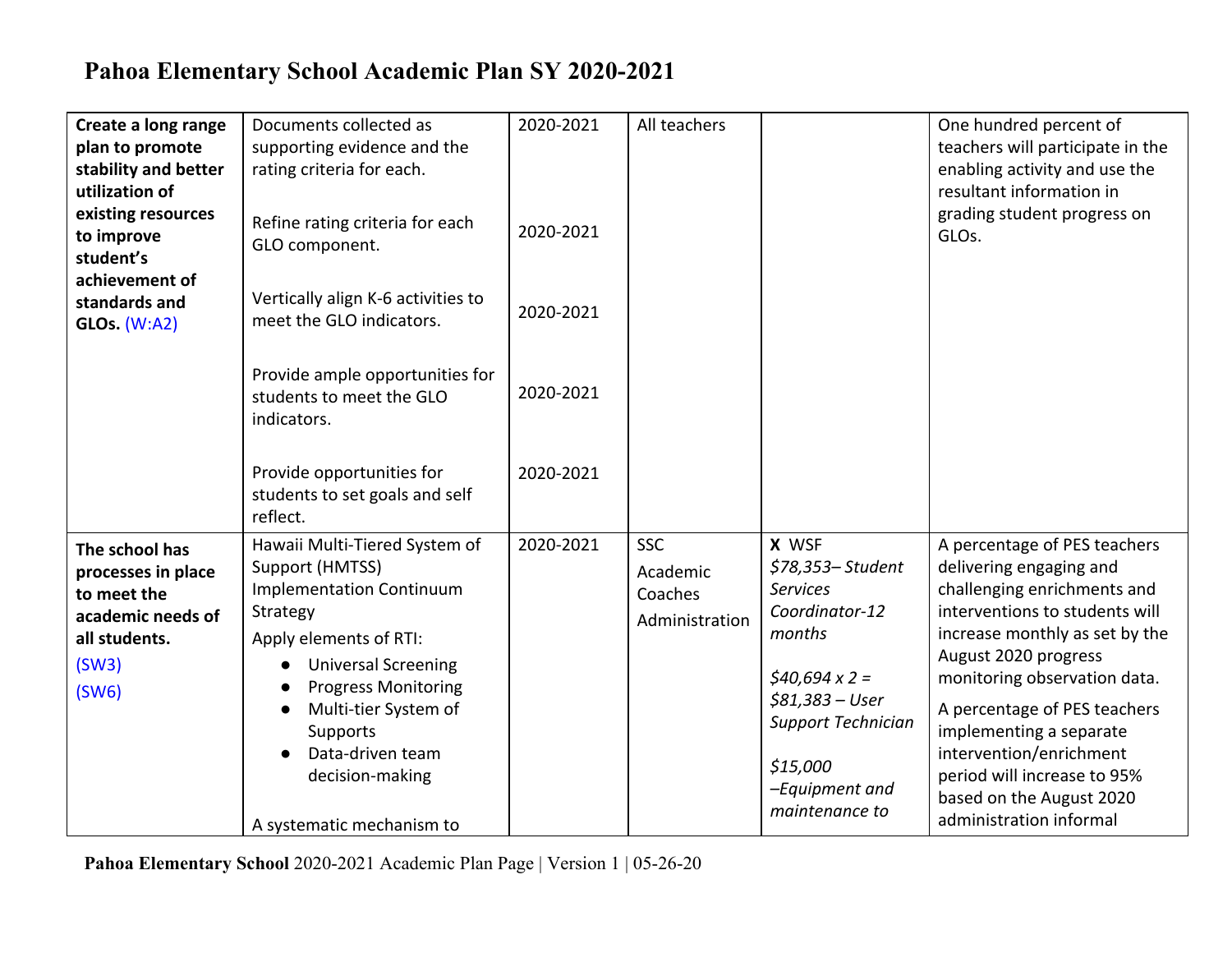| Create a long range<br>plan to promote<br>stability and better<br>utilization of<br>existing resources<br>to improve<br>student's<br>achievement of<br>standards and<br><b>GLOs.</b> (W:A2) | Documents collected as<br>supporting evidence and the<br>rating criteria for each.<br>Refine rating criteria for each<br>GLO component.<br>Vertically align K-6 activities to<br>meet the GLO indicators.<br>Provide ample opportunities for<br>students to meet the GLO<br>indicators.<br>Provide opportunities for<br>students to set goals and self | 2020-2021<br>2020-2021<br>2020-2021<br>2020-2021<br>2020-2021 | All teachers                                        |                                                                                                                                                                                                   | One hundred percent of<br>teachers will participate in the<br>enabling activity and use the<br>resultant information in<br>grading student progress on<br>GLO <sub>s</sub> .                                                                                                                                                                                                                   |
|---------------------------------------------------------------------------------------------------------------------------------------------------------------------------------------------|--------------------------------------------------------------------------------------------------------------------------------------------------------------------------------------------------------------------------------------------------------------------------------------------------------------------------------------------------------|---------------------------------------------------------------|-----------------------------------------------------|---------------------------------------------------------------------------------------------------------------------------------------------------------------------------------------------------|------------------------------------------------------------------------------------------------------------------------------------------------------------------------------------------------------------------------------------------------------------------------------------------------------------------------------------------------------------------------------------------------|
| The school has<br>processes in place<br>to meet the<br>academic needs of<br>all students.<br>(SW3)<br>(SW6)                                                                                 | reflect.<br>Hawaii Multi-Tiered System of<br>Support (HMTSS)<br>Implementation Continuum<br>Strategy<br>Apply elements of RTI:<br><b>Universal Screening</b><br>$\bullet$<br><b>Progress Monitoring</b><br>Multi-tier System of<br>$\bullet$<br>Supports<br>Data-driven team<br>decision-making<br>A systematic mechanism to                           | 2020-2021                                                     | <b>SSC</b><br>Academic<br>Coaches<br>Administration | X WSF<br>\$78,353-Student<br><b>Services</b><br>Coordinator-12<br>months<br>$$40,694 \times 2 =$<br>$$81,383 - User$<br><b>Support Technician</b><br>\$15,000<br>-Equipment and<br>maintenance to | A percentage of PES teachers<br>delivering engaging and<br>challenging enrichments and<br>interventions to students will<br>increase monthly as set by the<br>August 2020 progress<br>monitoring observation data.<br>A percentage of PES teachers<br>implementing a separate<br>intervention/enrichment<br>period will increase to 95%<br>based on the August 2020<br>administration informal |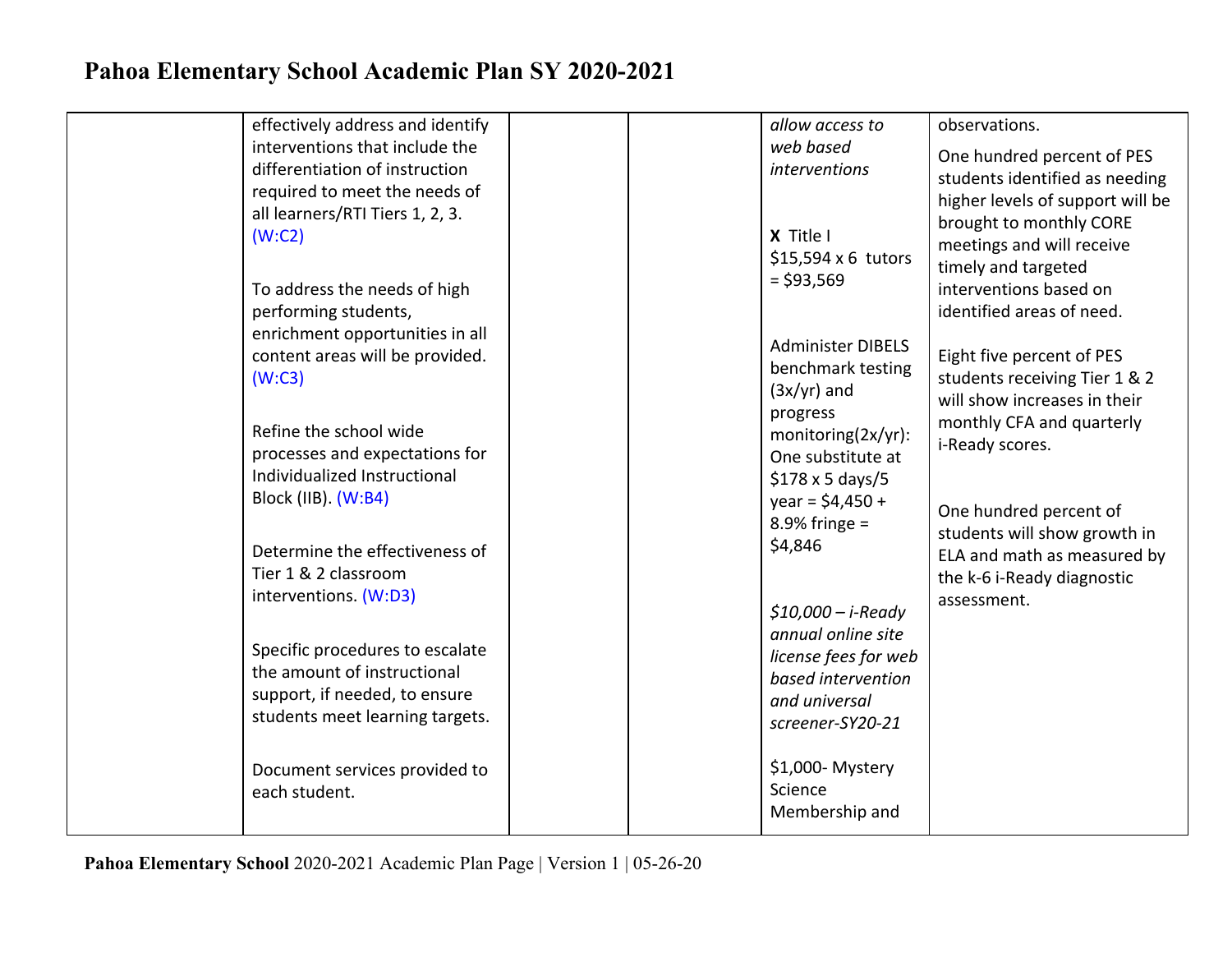| effectively address and identify               | allow access to                   | observations.                    |
|------------------------------------------------|-----------------------------------|----------------------------------|
| interventions that include the                 | web based                         | One hundred percent of PES       |
| differentiation of instruction                 | <i>interventions</i>              | students identified as needing   |
| required to meet the needs of                  |                                   | higher levels of support will be |
| all learners/RTI Tiers 1, 2, 3.                |                                   | brought to monthly CORE          |
| (W:C2)                                         | X Title I                         | meetings and will receive        |
|                                                | \$15,594 x 6 tutors               | timely and targeted              |
| To address the needs of high                   | $= $93,569$                       | interventions based on           |
| performing students,                           |                                   | identified areas of need.        |
| enrichment opportunities in all                |                                   |                                  |
| content areas will be provided.                | <b>Administer DIBELS</b>          | Eight five percent of PES        |
| (W:C3)                                         | benchmark testing                 | students receiving Tier 1 & 2    |
|                                                | $(3x/yr)$ and                     | will show increases in their     |
|                                                | progress                          | monthly CFA and quarterly        |
| Refine the school wide                         | monitoring(2x/yr):                | i-Ready scores.                  |
| processes and expectations for                 | One substitute at                 |                                  |
| Individualized Instructional                   | $$178 \times 5 \text{ days}/5$    |                                  |
| Block (IIB). (W:B4)                            | $year = $4,450 +$                 | One hundred percent of           |
|                                                | $8.9\%$ fringe =                  | students will show growth in     |
| Determine the effectiveness of                 | \$4,846                           | ELA and math as measured by      |
| Tier 1 & 2 classroom                           |                                   | the k-6 i-Ready diagnostic       |
| interventions. (W:D3)                          |                                   | assessment.                      |
|                                                | $$10,000 - i$ -Ready              |                                  |
| Specific procedures to escalate                | annual online site                |                                  |
| the amount of instructional                    | license fees for web              |                                  |
| support, if needed, to ensure                  | based intervention                |                                  |
| students meet learning targets.                | and universal<br>screener-SY20-21 |                                  |
|                                                |                                   |                                  |
|                                                | \$1,000-Mystery                   |                                  |
| Document services provided to<br>each student. | Science                           |                                  |
|                                                | Membership and                    |                                  |
|                                                |                                   |                                  |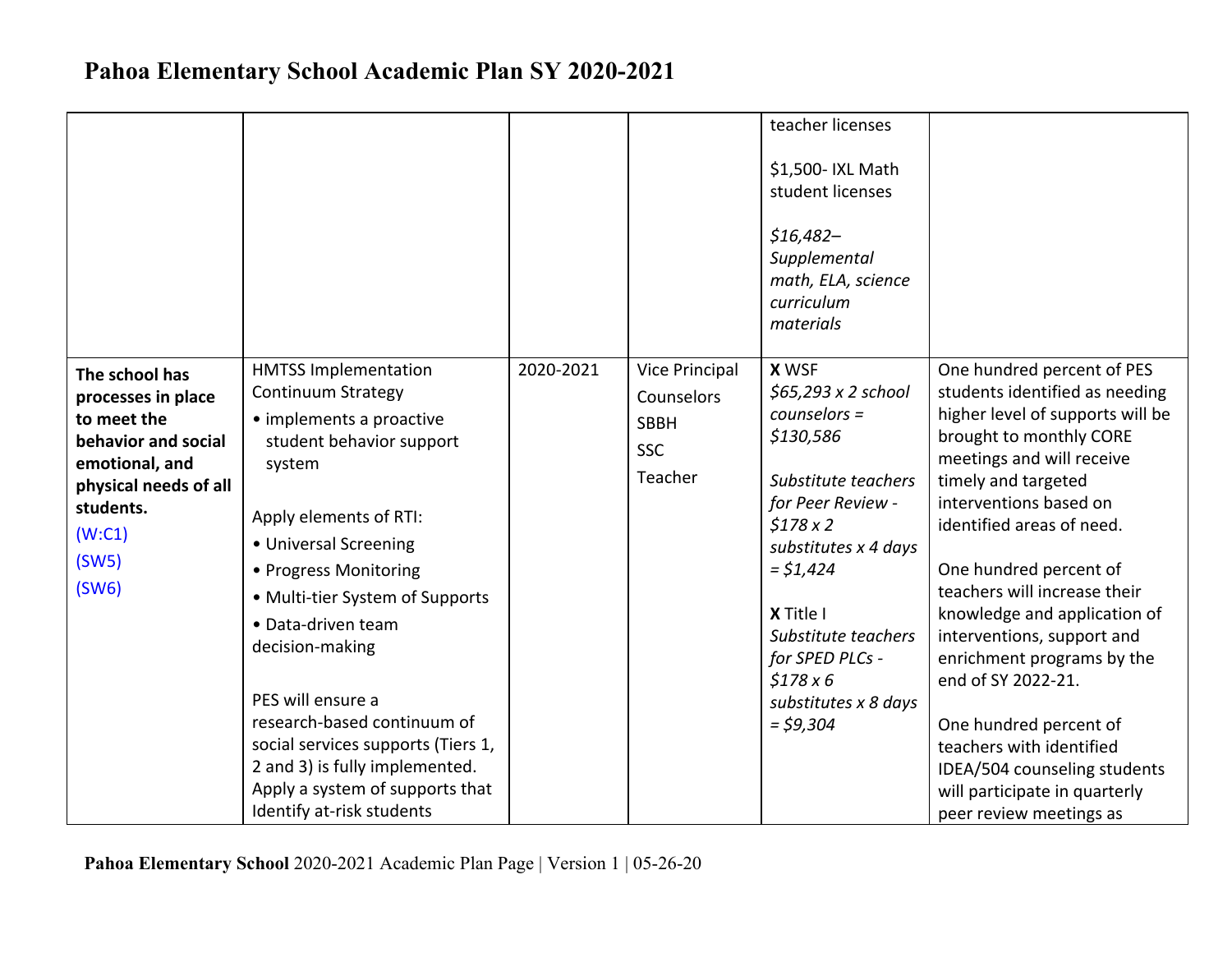|                                                                                                                                                                |                                                                                                                                                                                                                                                                                                                                                                                                                                                                                |           |                                                                             | teacher licenses<br>\$1,500- IXL Math<br>student licenses<br>$$16,482-$<br>Supplemental<br>math, ELA, science<br>curriculum<br>materials                                                                                                                                        |                                                                                                                                                                                                                                                                                                                                                                                                                                                                                                                                                                      |
|----------------------------------------------------------------------------------------------------------------------------------------------------------------|--------------------------------------------------------------------------------------------------------------------------------------------------------------------------------------------------------------------------------------------------------------------------------------------------------------------------------------------------------------------------------------------------------------------------------------------------------------------------------|-----------|-----------------------------------------------------------------------------|---------------------------------------------------------------------------------------------------------------------------------------------------------------------------------------------------------------------------------------------------------------------------------|----------------------------------------------------------------------------------------------------------------------------------------------------------------------------------------------------------------------------------------------------------------------------------------------------------------------------------------------------------------------------------------------------------------------------------------------------------------------------------------------------------------------------------------------------------------------|
| The school has<br>processes in place<br>to meet the<br>behavior and social<br>emotional, and<br>physical needs of all<br>students.<br>(W:C1)<br>(SW5)<br>(SW6) | <b>HMTSS Implementation</b><br><b>Continuum Strategy</b><br>• implements a proactive<br>student behavior support<br>system<br>Apply elements of RTI:<br>• Universal Screening<br>• Progress Monitoring<br>• Multi-tier System of Supports<br>• Data-driven team<br>decision-making<br>PES will ensure a<br>research-based continuum of<br>social services supports (Tiers 1,<br>2 and 3) is fully implemented.<br>Apply a system of supports that<br>Identify at-risk students | 2020-2021 | <b>Vice Principal</b><br>Counselors<br><b>SBBH</b><br><b>SSC</b><br>Teacher | <b>X WSF</b><br>$$65,293 \times 2$ school<br>$counselors =$<br>\$130,586<br>Substitute teachers<br>for Peer Review -<br>\$178x2<br>substitutes x 4 days<br>$=$ \$1,424<br>X Title I<br>Substitute teachers<br>for SPED PLCs -<br>\$178x6<br>substitutes x 8 days<br>$=$ \$9,304 | One hundred percent of PES<br>students identified as needing<br>higher level of supports will be<br>brought to monthly CORE<br>meetings and will receive<br>timely and targeted<br>interventions based on<br>identified areas of need.<br>One hundred percent of<br>teachers will increase their<br>knowledge and application of<br>interventions, support and<br>enrichment programs by the<br>end of SY 2022-21.<br>One hundred percent of<br>teachers with identified<br>IDEA/504 counseling students<br>will participate in quarterly<br>peer review meetings as |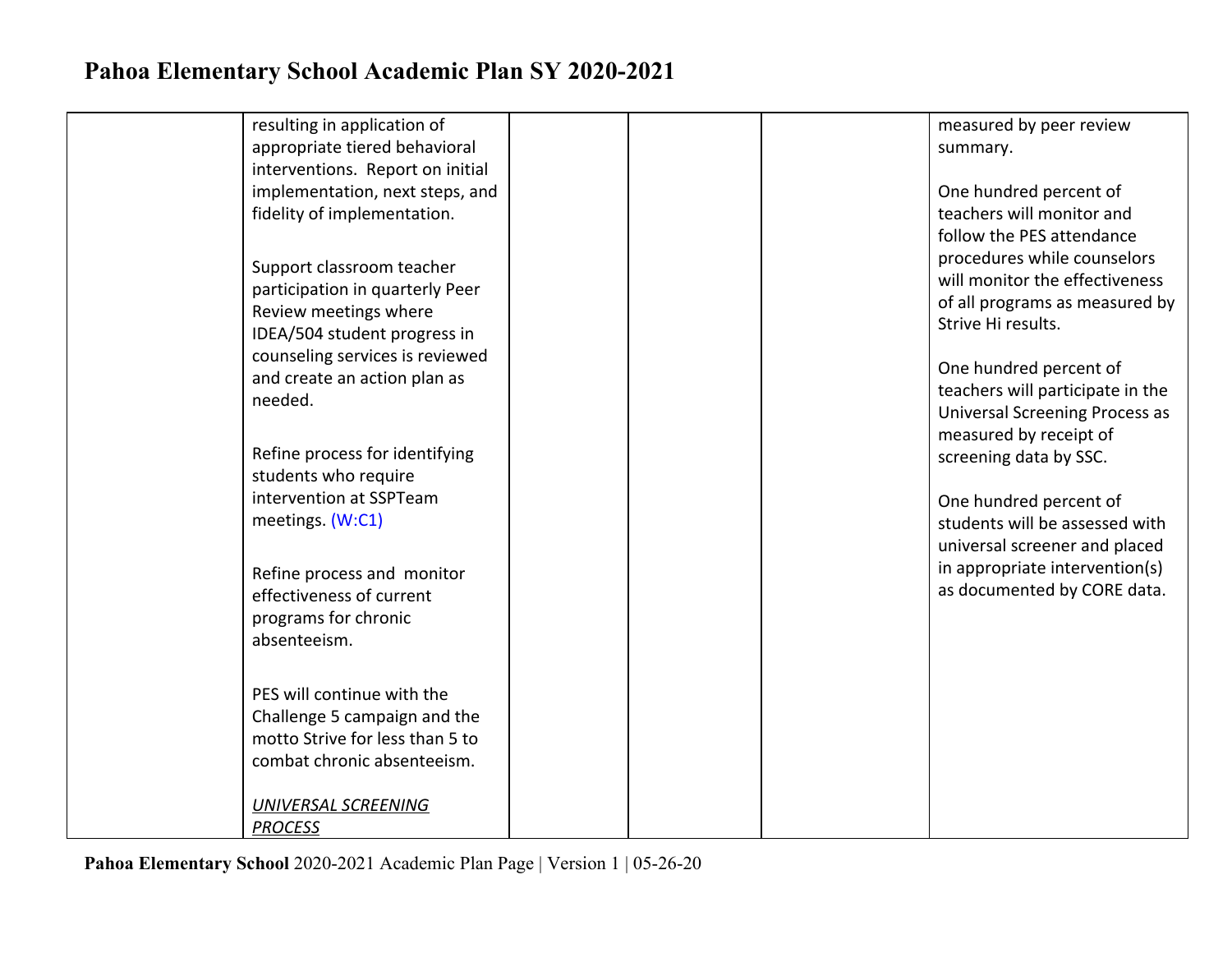| resulting in application of          | measured by peer review               |
|--------------------------------------|---------------------------------------|
| appropriate tiered behavioral        | summary.                              |
| interventions. Report on initial     |                                       |
| implementation, next steps, and      | One hundred percent of                |
| fidelity of implementation.          | teachers will monitor and             |
|                                      | follow the PES attendance             |
|                                      | procedures while counselors           |
| Support classroom teacher            | will monitor the effectiveness        |
| participation in quarterly Peer      | of all programs as measured by        |
| Review meetings where                | Strive Hi results.                    |
| IDEA/504 student progress in         |                                       |
| counseling services is reviewed      | One hundred percent of                |
| and create an action plan as         | teachers will participate in the      |
| needed.                              | <b>Universal Screening Process as</b> |
|                                      | measured by receipt of                |
| Refine process for identifying       | screening data by SSC.                |
| students who require                 |                                       |
| intervention at SSPTeam              | One hundred percent of                |
| meetings. (W:C1)                     | students will be assessed with        |
|                                      | universal screener and placed         |
| Refine process and monitor           | in appropriate intervention(s)        |
| effectiveness of current             | as documented by CORE data.           |
|                                      |                                       |
| programs for chronic<br>absenteeism. |                                       |
|                                      |                                       |
|                                      |                                       |
| PES will continue with the           |                                       |
| Challenge 5 campaign and the         |                                       |
| motto Strive for less than 5 to      |                                       |
| combat chronic absenteeism.          |                                       |
|                                      |                                       |
| <b>UNIVERSAL SCREENING</b>           |                                       |
| <b>PROCESS</b>                       |                                       |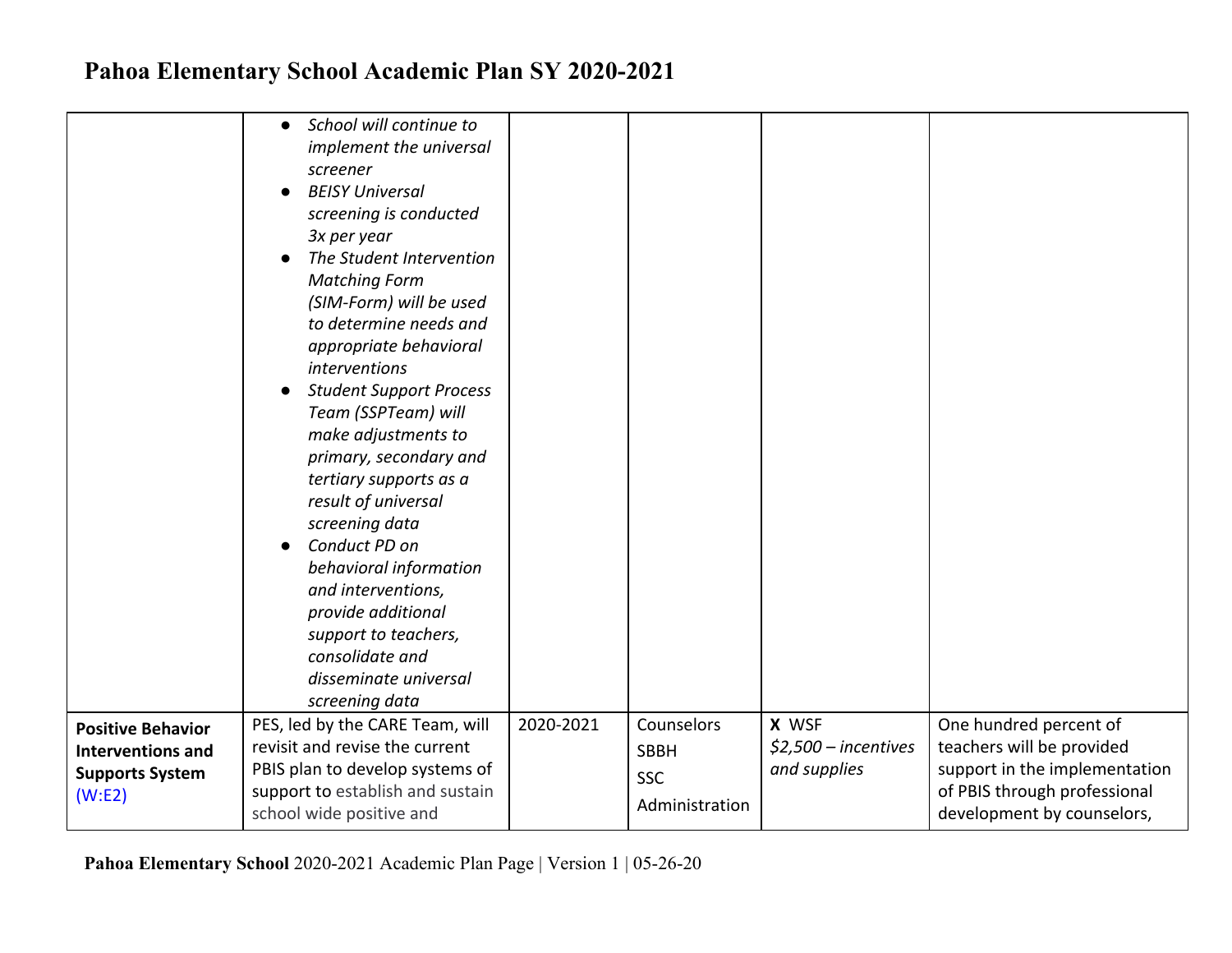|                                                                                           | School will continue to<br>$\bullet$<br>implement the universal<br>screener<br><b>BEISY Universal</b><br>screening is conducted<br>3x per year<br>The Student Intervention<br><b>Matching Form</b><br>(SIM-Form) will be used<br>to determine needs and<br>appropriate behavioral<br>interventions<br><b>Student Support Process</b><br>Team (SSPTeam) will<br>make adjustments to<br>primary, secondary and<br>tertiary supports as a<br>result of universal<br>screening data<br>Conduct PD on<br>$\bullet$<br>behavioral information<br>and interventions,<br>provide additional<br>support to teachers,<br>consolidate and<br>disseminate universal<br>screening data |           |                                                           |                                                |                                                                                                                                                    |
|-------------------------------------------------------------------------------------------|---------------------------------------------------------------------------------------------------------------------------------------------------------------------------------------------------------------------------------------------------------------------------------------------------------------------------------------------------------------------------------------------------------------------------------------------------------------------------------------------------------------------------------------------------------------------------------------------------------------------------------------------------------------------------|-----------|-----------------------------------------------------------|------------------------------------------------|----------------------------------------------------------------------------------------------------------------------------------------------------|
| <b>Positive Behavior</b><br><b>Interventions and</b><br><b>Supports System</b><br>(W: E2) | PES, led by the CARE Team, will<br>revisit and revise the current<br>PBIS plan to develop systems of<br>support to establish and sustain<br>school wide positive and                                                                                                                                                                                                                                                                                                                                                                                                                                                                                                      | 2020-2021 | Counselors<br><b>SBBH</b><br><b>SSC</b><br>Administration | X WSF<br>$$2,500$ - incentives<br>and supplies | One hundred percent of<br>teachers will be provided<br>support in the implementation<br>of PBIS through professional<br>development by counselors, |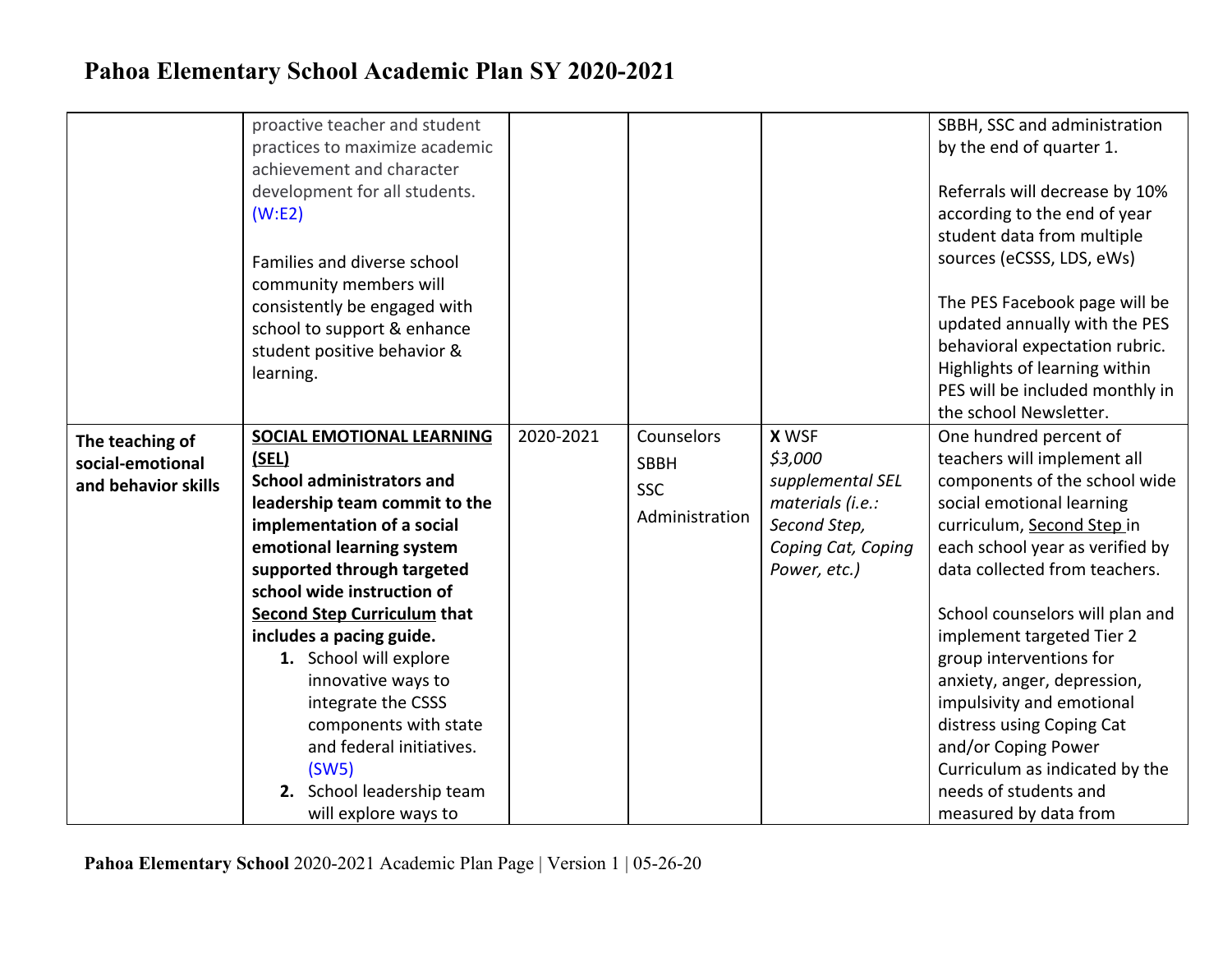|                                                            | proactive teacher and student<br>practices to maximize academic<br>achievement and character<br>development for all students.<br>(W: E2)<br>Families and diverse school<br>community members will<br>consistently be engaged with<br>school to support & enhance<br>student positive behavior &<br>learning.                                                                                                                                |           |                                                           |                                                                                                                       | SBBH, SSC and administration<br>by the end of quarter 1.<br>Referrals will decrease by 10%<br>according to the end of year<br>student data from multiple<br>sources (eCSSS, LDS, eWs)<br>The PES Facebook page will be<br>updated annually with the PES<br>behavioral expectation rubric.<br>Highlights of learning within<br>PES will be included monthly in<br>the school Newsletter.                                                                            |
|------------------------------------------------------------|---------------------------------------------------------------------------------------------------------------------------------------------------------------------------------------------------------------------------------------------------------------------------------------------------------------------------------------------------------------------------------------------------------------------------------------------|-----------|-----------------------------------------------------------|-----------------------------------------------------------------------------------------------------------------------|--------------------------------------------------------------------------------------------------------------------------------------------------------------------------------------------------------------------------------------------------------------------------------------------------------------------------------------------------------------------------------------------------------------------------------------------------------------------|
| The teaching of<br>social-emotional<br>and behavior skills | <b>SOCIAL EMOTIONAL LEARNING</b><br>(SEL)<br><b>School administrators and</b><br>leadership team commit to the<br>implementation of a social<br>emotional learning system<br>supported through targeted<br>school wide instruction of<br><b>Second Step Curriculum that</b><br>includes a pacing guide.<br>1. School will explore<br>innovative ways to<br>integrate the CSSS<br>components with state<br>and federal initiatives.<br>(SW5) | 2020-2021 | Counselors<br><b>SBBH</b><br><b>SSC</b><br>Administration | <b>X WSF</b><br>\$3,000<br>supplemental SEL<br>materials (i.e.:<br>Second Step,<br>Coping Cat, Coping<br>Power, etc.) | One hundred percent of<br>teachers will implement all<br>components of the school wide<br>social emotional learning<br>curriculum, Second Step in<br>each school year as verified by<br>data collected from teachers.<br>School counselors will plan and<br>implement targeted Tier 2<br>group interventions for<br>anxiety, anger, depression,<br>impulsivity and emotional<br>distress using Coping Cat<br>and/or Coping Power<br>Curriculum as indicated by the |
|                                                            | 2. School leadership team<br>will explore ways to                                                                                                                                                                                                                                                                                                                                                                                           |           |                                                           |                                                                                                                       | needs of students and<br>measured by data from                                                                                                                                                                                                                                                                                                                                                                                                                     |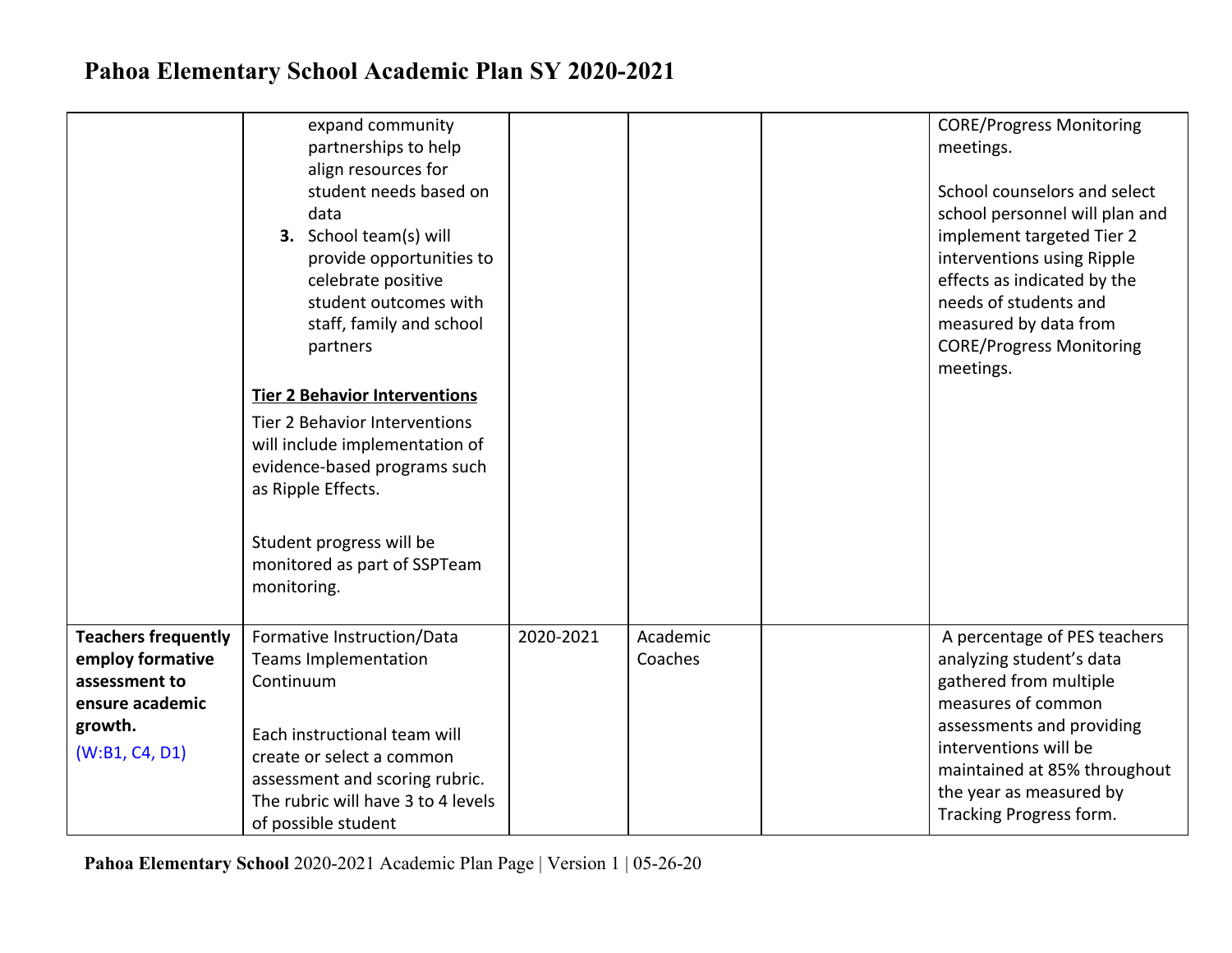|                                                                                                                 | expand community<br>partnerships to help<br>align resources for<br>student needs based on<br>data<br>3. School team(s) will<br>provide opportunities to<br>celebrate positive<br>student outcomes with<br>staff, family and school<br>partners<br><b>Tier 2 Behavior Interventions</b><br>Tier 2 Behavior Interventions<br>will include implementation of<br>evidence-based programs such<br>as Ripple Effects.<br>Student progress will be<br>monitored as part of SSPTeam<br>monitoring. |           |                     | <b>CORE/Progress Monitoring</b><br>meetings.<br>School counselors and select<br>school personnel will plan and<br>implement targeted Tier 2<br>interventions using Ripple<br>effects as indicated by the<br>needs of students and<br>measured by data from<br><b>CORE/Progress Monitoring</b><br>meetings. |
|-----------------------------------------------------------------------------------------------------------------|--------------------------------------------------------------------------------------------------------------------------------------------------------------------------------------------------------------------------------------------------------------------------------------------------------------------------------------------------------------------------------------------------------------------------------------------------------------------------------------------|-----------|---------------------|------------------------------------------------------------------------------------------------------------------------------------------------------------------------------------------------------------------------------------------------------------------------------------------------------------|
| <b>Teachers frequently</b><br>employ formative<br>assessment to<br>ensure academic<br>growth.<br>(W:B1, C4, D1) | Formative Instruction/Data<br><b>Teams Implementation</b><br>Continuum<br>Each instructional team will<br>create or select a common<br>assessment and scoring rubric.<br>The rubric will have 3 to 4 levels<br>of possible student                                                                                                                                                                                                                                                         | 2020-2021 | Academic<br>Coaches | A percentage of PES teachers<br>analyzing student's data<br>gathered from multiple<br>measures of common<br>assessments and providing<br>interventions will be<br>maintained at 85% throughout<br>the year as measured by<br>Tracking Progress form.                                                       |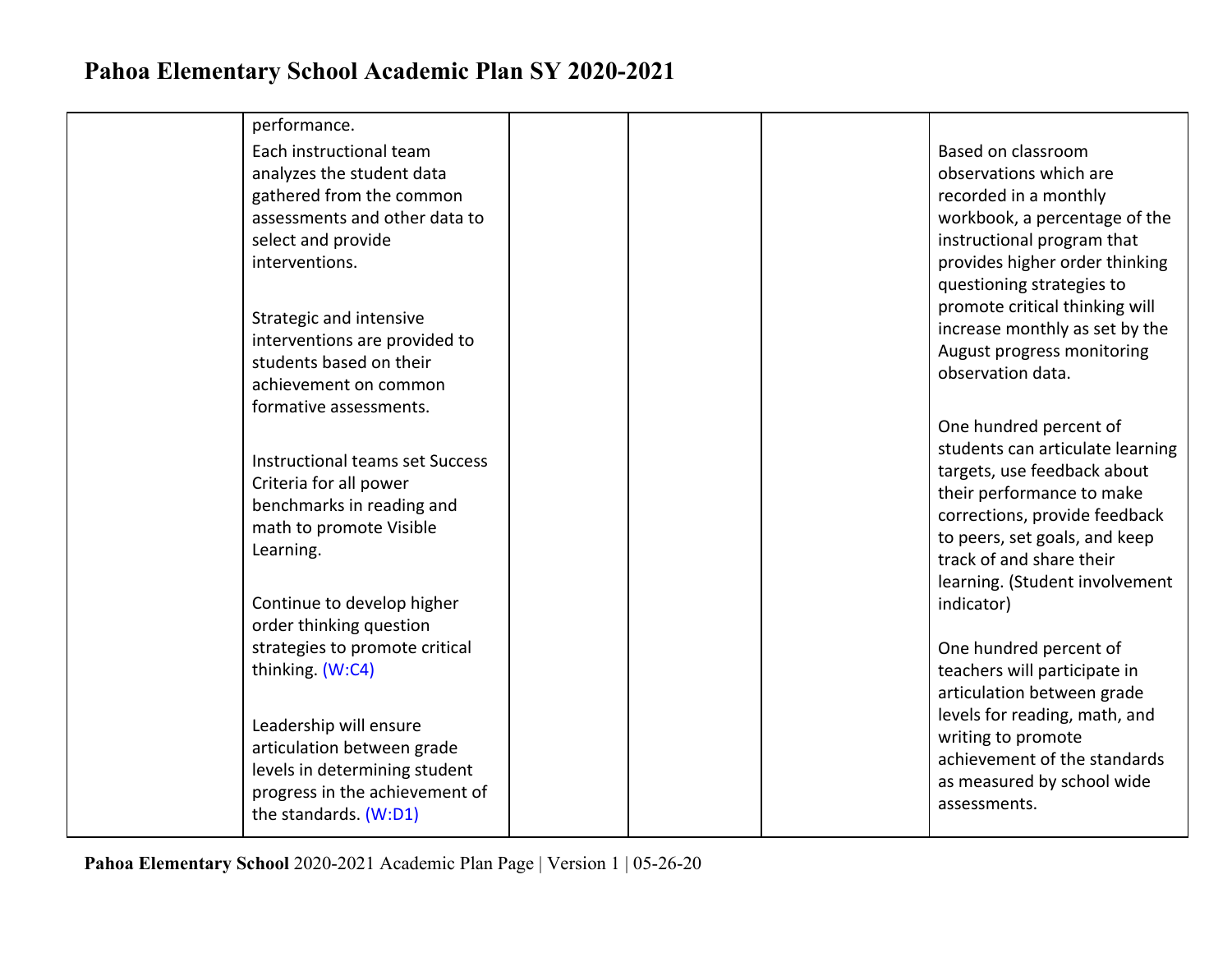| performance.                                             |  |                                  |
|----------------------------------------------------------|--|----------------------------------|
| Each instructional team                                  |  | Based on classroom               |
| analyzes the student data                                |  | observations which are           |
| gathered from the common                                 |  | recorded in a monthly            |
| assessments and other data to                            |  | workbook, a percentage of the    |
| select and provide                                       |  | instructional program that       |
| interventions.                                           |  | provides higher order thinking   |
|                                                          |  | questioning strategies to        |
|                                                          |  | promote critical thinking will   |
| Strategic and intensive                                  |  | increase monthly as set by the   |
| interventions are provided to<br>students based on their |  | August progress monitoring       |
| achievement on common                                    |  | observation data.                |
| formative assessments.                                   |  |                                  |
|                                                          |  | One hundred percent of           |
|                                                          |  | students can articulate learning |
| <b>Instructional teams set Success</b>                   |  | targets, use feedback about      |
| Criteria for all power                                   |  | their performance to make        |
| benchmarks in reading and                                |  | corrections, provide feedback    |
| math to promote Visible                                  |  | to peers, set goals, and keep    |
| Learning.                                                |  | track of and share their         |
|                                                          |  | learning. (Student involvement   |
| Continue to develop higher                               |  | indicator)                       |
| order thinking question                                  |  |                                  |
| strategies to promote critical                           |  | One hundred percent of           |
| thinking. (W:C4)                                         |  | teachers will participate in     |
|                                                          |  | articulation between grade       |
| Leadership will ensure                                   |  | levels for reading, math, and    |
| articulation between grade                               |  | writing to promote               |
| levels in determining student                            |  | achievement of the standards     |
| progress in the achievement of                           |  | as measured by school wide       |
| the standards. (W:D1)                                    |  | assessments.                     |
|                                                          |  |                                  |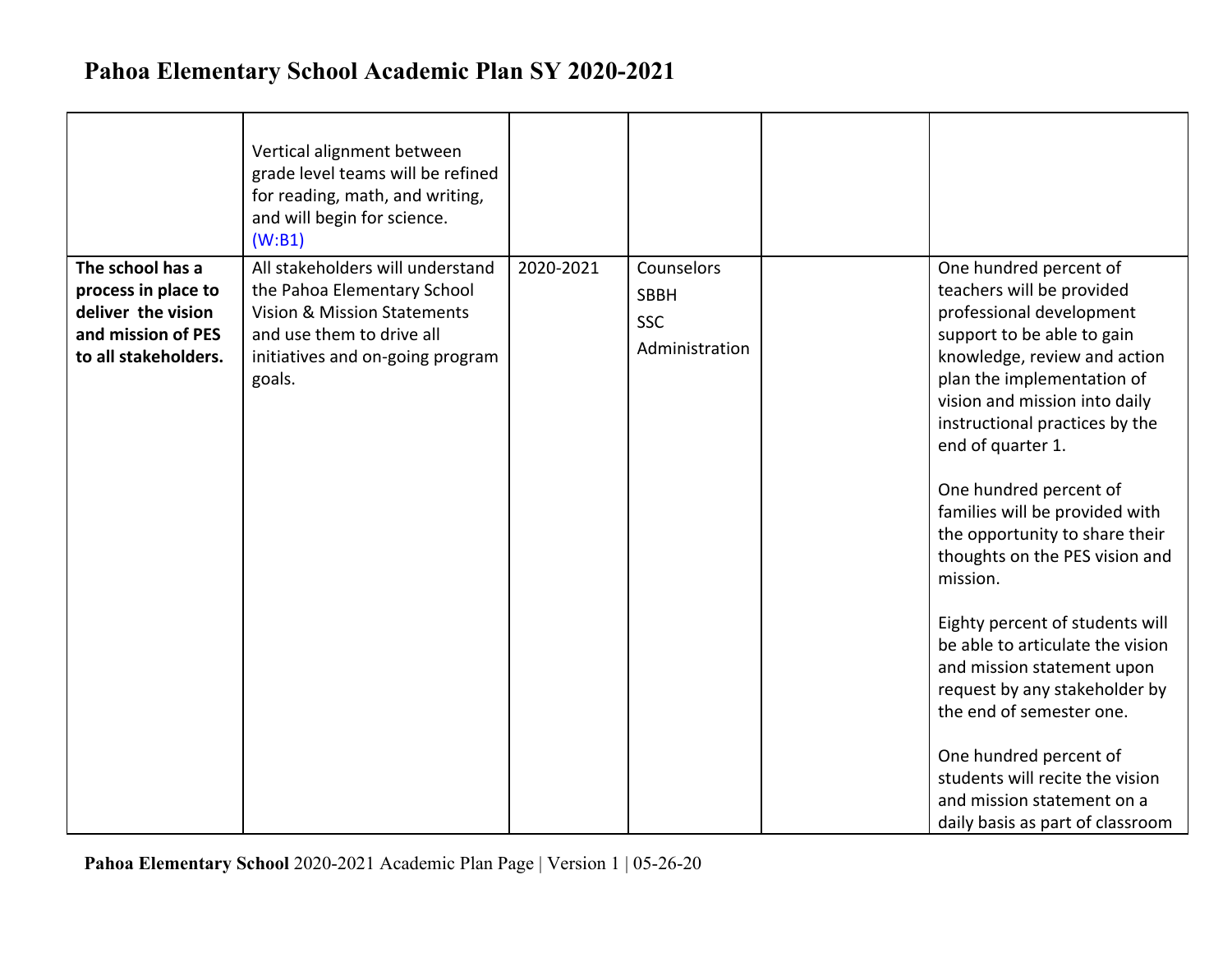|                                                                                                             | Vertical alignment between<br>grade level teams will be refined<br>for reading, math, and writing,<br>and will begin for science.<br>(W:B1)                               |           |                                                           |                                                                                                                                                                                                                                                                                                                                                                                                                                                                                                                                                                                                                                                                                                                  |
|-------------------------------------------------------------------------------------------------------------|---------------------------------------------------------------------------------------------------------------------------------------------------------------------------|-----------|-----------------------------------------------------------|------------------------------------------------------------------------------------------------------------------------------------------------------------------------------------------------------------------------------------------------------------------------------------------------------------------------------------------------------------------------------------------------------------------------------------------------------------------------------------------------------------------------------------------------------------------------------------------------------------------------------------------------------------------------------------------------------------------|
| The school has a<br>process in place to<br>deliver the vision<br>and mission of PES<br>to all stakeholders. | All stakeholders will understand<br>the Pahoa Elementary School<br>Vision & Mission Statements<br>and use them to drive all<br>initiatives and on-going program<br>goals. | 2020-2021 | Counselors<br><b>SBBH</b><br><b>SSC</b><br>Administration | One hundred percent of<br>teachers will be provided<br>professional development<br>support to be able to gain<br>knowledge, review and action<br>plan the implementation of<br>vision and mission into daily<br>instructional practices by the<br>end of quarter 1.<br>One hundred percent of<br>families will be provided with<br>the opportunity to share their<br>thoughts on the PES vision and<br>mission.<br>Eighty percent of students will<br>be able to articulate the vision<br>and mission statement upon<br>request by any stakeholder by<br>the end of semester one.<br>One hundred percent of<br>students will recite the vision<br>and mission statement on a<br>daily basis as part of classroom |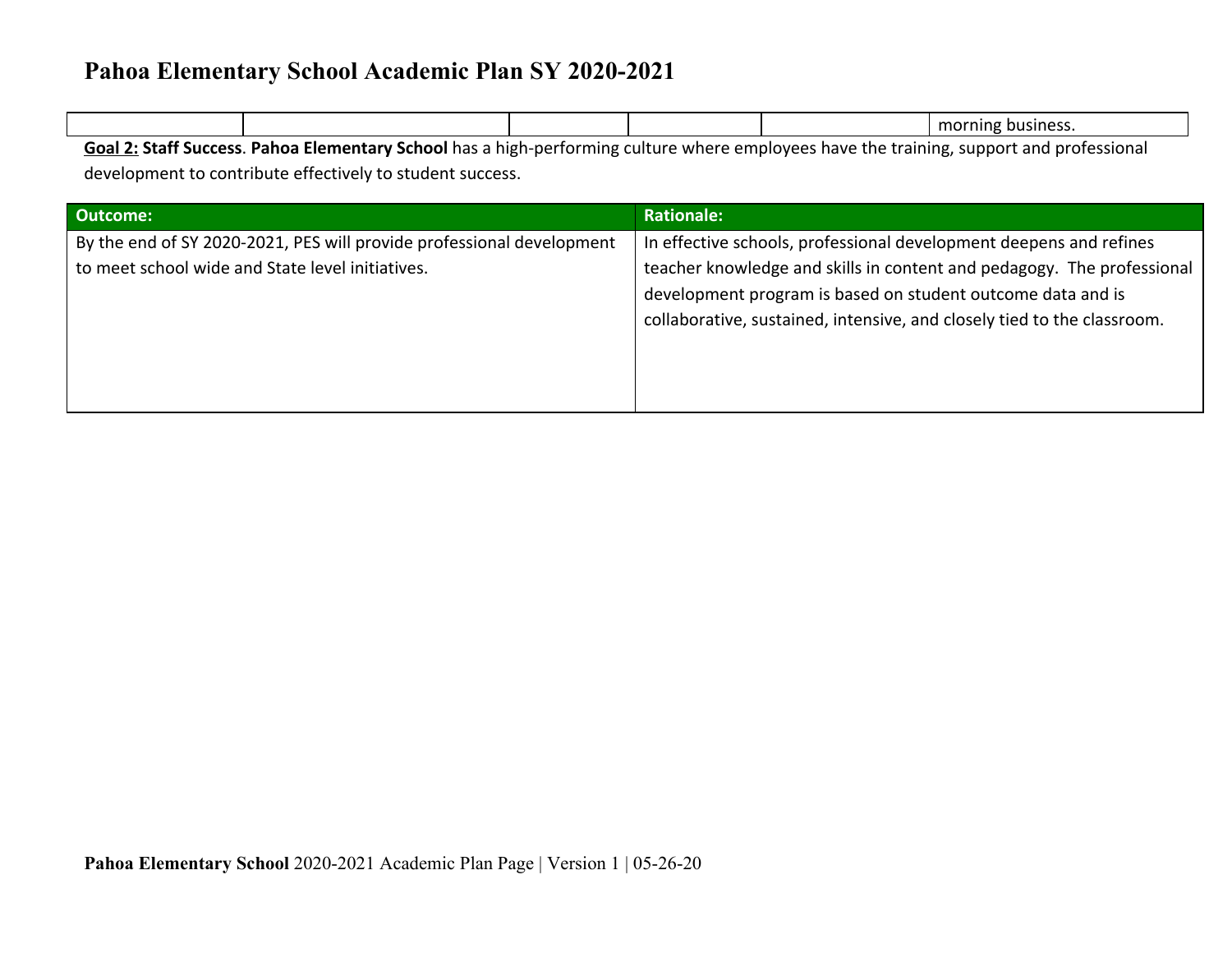|                           |  |  |  |  | morning<br>business. |
|---------------------------|--|--|--|--|----------------------|
| $\sim$ 10 $\sim$ 110<br>. |  |  |  |  |                      |

**Goal 2: Staff Success**. **Pahoa Elementary School** has a high-performing culture where employees have the training, support and professional development to contribute effectively to student success.

| <b>Outcome:</b>                                                       | <b>Rationale:</b>                                                       |
|-----------------------------------------------------------------------|-------------------------------------------------------------------------|
| By the end of SY 2020-2021, PES will provide professional development | In effective schools, professional development deepens and refines      |
| to meet school wide and State level initiatives.                      | teacher knowledge and skills in content and pedagogy. The professional  |
|                                                                       | development program is based on student outcome data and is             |
|                                                                       | collaborative, sustained, intensive, and closely tied to the classroom. |
|                                                                       |                                                                         |
|                                                                       |                                                                         |
|                                                                       |                                                                         |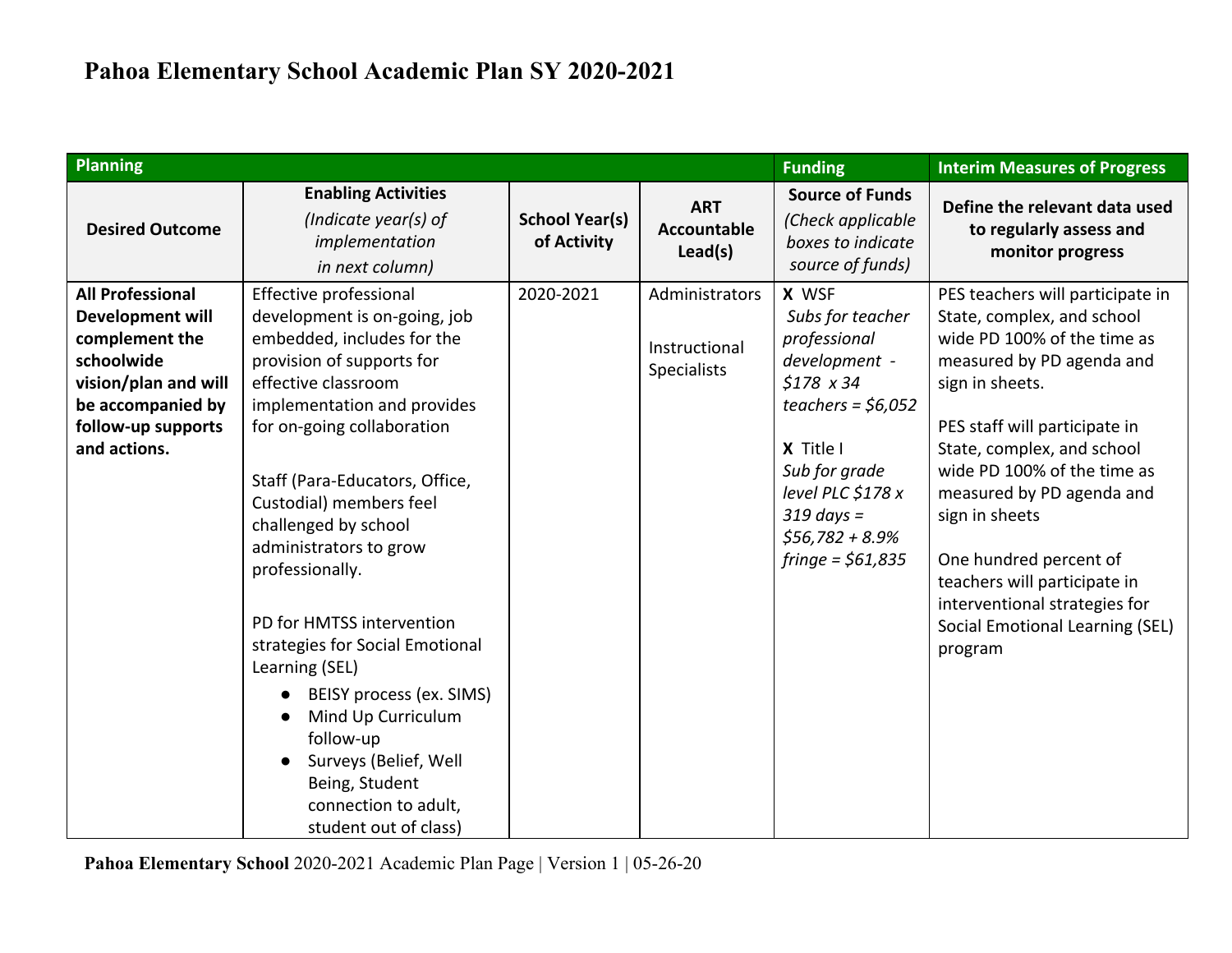| <b>Planning</b>                                                                                                                                                |                                                                                                                                                                                                                                                                                                                                                                                                                                                                                                                                                                                      |                                      |                                                       | <b>Funding</b>                                                                                                                                                                                                      | <b>Interim Measures of Progress</b>                                                                                                                                                                                                                                                                                                                                                                                                 |
|----------------------------------------------------------------------------------------------------------------------------------------------------------------|--------------------------------------------------------------------------------------------------------------------------------------------------------------------------------------------------------------------------------------------------------------------------------------------------------------------------------------------------------------------------------------------------------------------------------------------------------------------------------------------------------------------------------------------------------------------------------------|--------------------------------------|-------------------------------------------------------|---------------------------------------------------------------------------------------------------------------------------------------------------------------------------------------------------------------------|-------------------------------------------------------------------------------------------------------------------------------------------------------------------------------------------------------------------------------------------------------------------------------------------------------------------------------------------------------------------------------------------------------------------------------------|
| <b>Desired Outcome</b>                                                                                                                                         | <b>Enabling Activities</b><br>(Indicate year(s) of<br>implementation<br>in next column)                                                                                                                                                                                                                                                                                                                                                                                                                                                                                              | <b>School Year(s)</b><br>of Activity | <b>ART</b><br><b>Accountable</b><br>Lead(s)           | <b>Source of Funds</b><br>(Check applicable<br>boxes to indicate<br>source of funds)                                                                                                                                | Define the relevant data used<br>to regularly assess and<br>monitor progress                                                                                                                                                                                                                                                                                                                                                        |
| <b>All Professional</b><br>Development will<br>complement the<br>schoolwide<br>vision/plan and will<br>be accompanied by<br>follow-up supports<br>and actions. | Effective professional<br>development is on-going, job<br>embedded, includes for the<br>provision of supports for<br>effective classroom<br>implementation and provides<br>for on-going collaboration<br>Staff (Para-Educators, Office,<br>Custodial) members feel<br>challenged by school<br>administrators to grow<br>professionally.<br>PD for HMTSS intervention<br>strategies for Social Emotional<br>Learning (SEL)<br>BEISY process (ex. SIMS)<br>Mind Up Curriculum<br>follow-up<br>Surveys (Belief, Well<br>Being, Student<br>connection to adult,<br>student out of class) | 2020-2021                            | Administrators<br>Instructional<br><b>Specialists</b> | X WSF<br>Subs for teacher<br>professional<br>development -<br>$$178 \times 34$<br>teachers = $$6,052$<br>X Title I<br>Sub for grade<br>level PLC $$178x$<br>$319$ days =<br>$$56,782 + 8.9\%$<br>$fringe = $61,835$ | PES teachers will participate in<br>State, complex, and school<br>wide PD 100% of the time as<br>measured by PD agenda and<br>sign in sheets.<br>PES staff will participate in<br>State, complex, and school<br>wide PD 100% of the time as<br>measured by PD agenda and<br>sign in sheets<br>One hundred percent of<br>teachers will participate in<br>interventional strategies for<br>Social Emotional Learning (SEL)<br>program |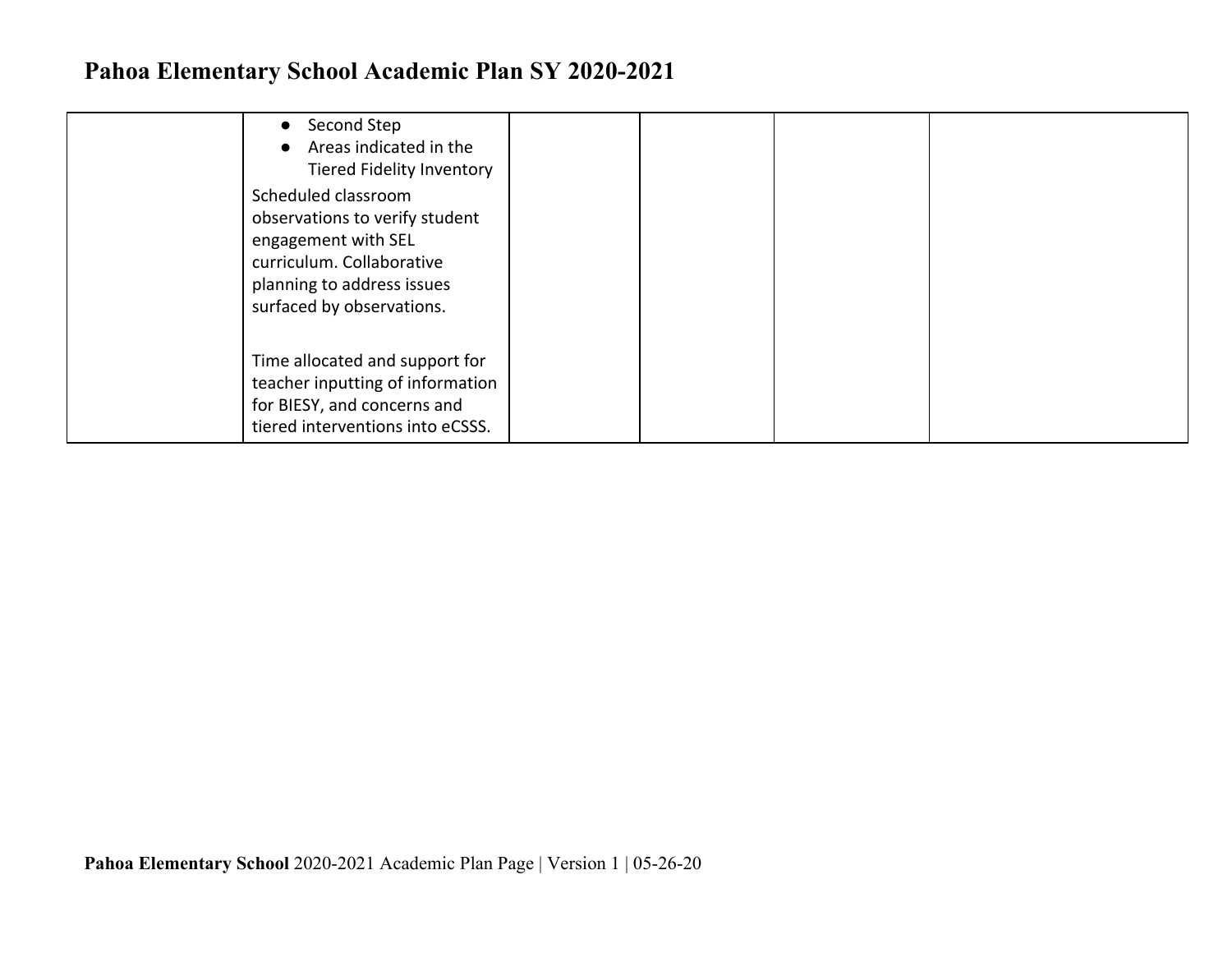| Second Step<br>$\bullet$<br>Areas indicated in the<br>$\bullet$<br>Tiered Fidelity Inventory                                                                         |  |  |
|----------------------------------------------------------------------------------------------------------------------------------------------------------------------|--|--|
| Scheduled classroom<br>observations to verify student<br>engagement with SEL<br>curriculum. Collaborative<br>planning to address issues<br>surfaced by observations. |  |  |
| Time allocated and support for<br>teacher inputting of information<br>for BIESY, and concerns and<br>tiered interventions into eCSSS.                                |  |  |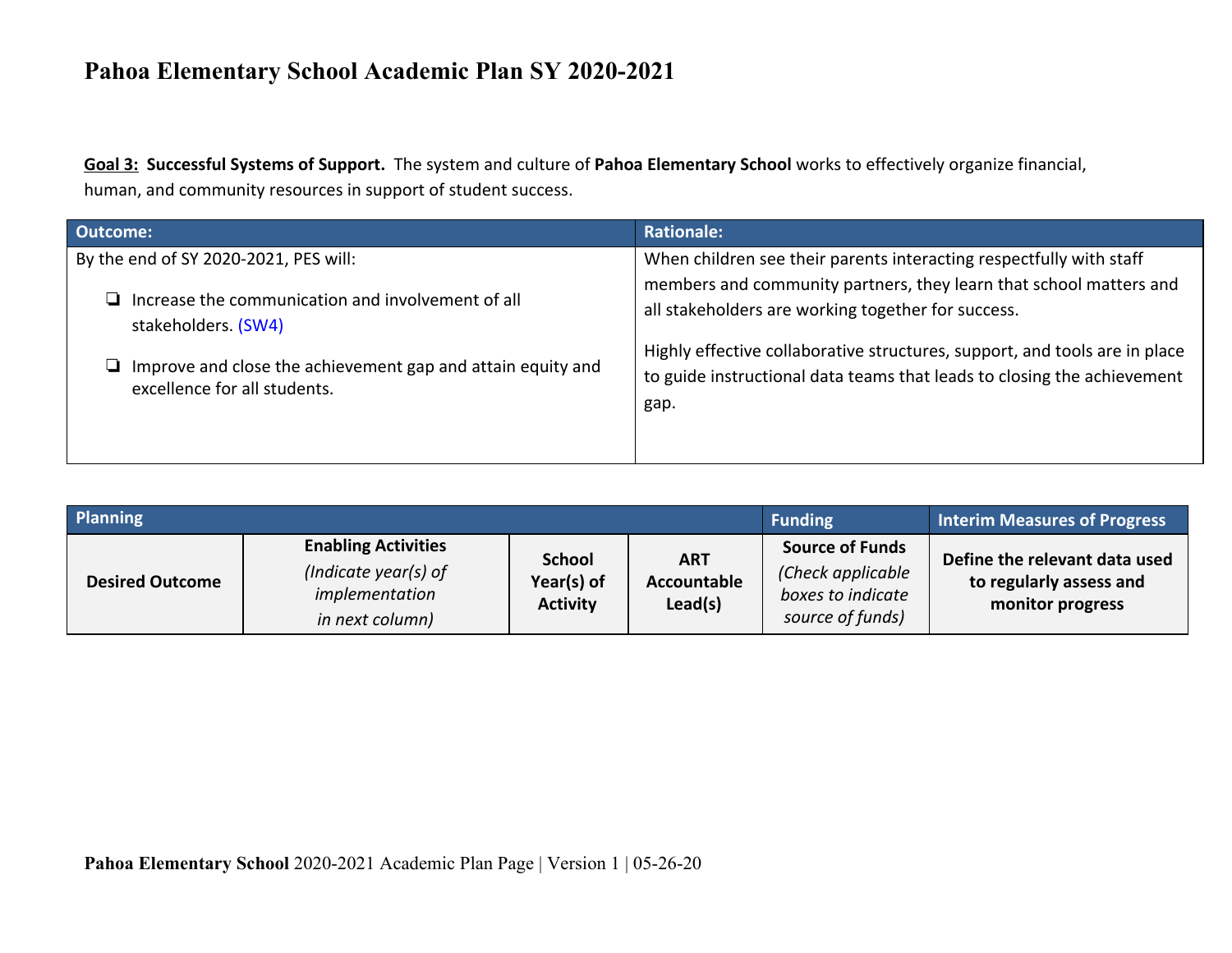**Goal 3: Successful Systems of Support.** The system and culture of **Pahoa Elementary School** works to effectively organize financial, human, and community resources in support of student success.

| <b>Outcome:</b>                                                                             | <b>Rationale:</b>                                                                                                                                             |
|---------------------------------------------------------------------------------------------|---------------------------------------------------------------------------------------------------------------------------------------------------------------|
| By the end of SY 2020-2021, PES will:                                                       | When children see their parents interacting respectfully with staff<br>members and community partners, they learn that school matters and                     |
| Increase the communication and involvement of all<br>stakeholders. (SW4)                    | all stakeholders are working together for success.                                                                                                            |
| Improve and close the achievement gap and attain equity and<br>excellence for all students. | Highly effective collaborative structures, support, and tools are in place<br>to guide instructional data teams that leads to closing the achievement<br>gap. |
|                                                                                             |                                                                                                                                                               |

| <b>Planning</b>        |                                                                                         |                                                |                                      | <b>Funding</b>                                                                       | <b>Interim Measures of Progress</b>                                          |
|------------------------|-----------------------------------------------------------------------------------------|------------------------------------------------|--------------------------------------|--------------------------------------------------------------------------------------|------------------------------------------------------------------------------|
| <b>Desired Outcome</b> | <b>Enabling Activities</b><br>(Indicate year(s) of<br>implementation<br>in next column) | <b>School</b><br>Year(s) of<br><b>Activity</b> | <b>ART</b><br>Accountable<br>Lead(s) | <b>Source of Funds</b><br>(Check applicable<br>boxes to indicate<br>source of funds) | Define the relevant data used<br>to regularly assess and<br>monitor progress |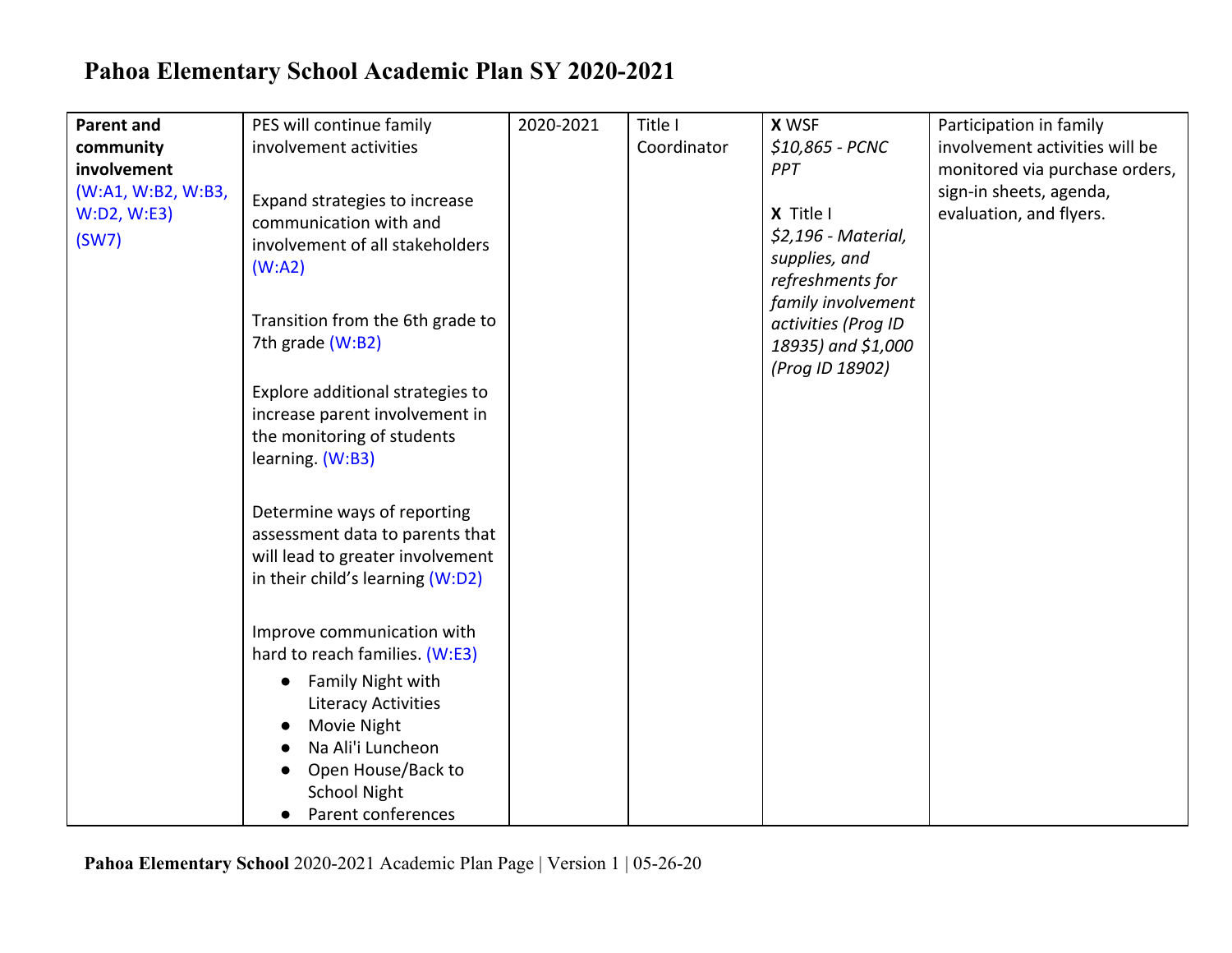| <b>Parent and</b>  | PES will continue family         | 2020-2021 | Title I     | <b>X WSF</b>        | Participation in family        |
|--------------------|----------------------------------|-----------|-------------|---------------------|--------------------------------|
| community          | involvement activities           |           | Coordinator | \$10,865 - PCNC     | involvement activities will be |
| involvement        |                                  |           |             | PPT                 | monitored via purchase orders, |
| (W:A1, W:B2, W:B3, | Expand strategies to increase    |           |             |                     | sign-in sheets, agenda,        |
| W:D2, W:E3)        | communication with and           |           |             | X Title I           | evaluation, and flyers.        |
| (SW7)              | involvement of all stakeholders  |           |             | \$2,196 - Material, |                                |
|                    | (W:A2)                           |           |             | supplies, and       |                                |
|                    |                                  |           |             | refreshments for    |                                |
|                    |                                  |           |             | family involvement  |                                |
|                    | Transition from the 6th grade to |           |             | activities (Prog ID |                                |
|                    | 7th grade (W:B2)                 |           |             | 18935) and \$1,000  |                                |
|                    |                                  |           |             | (Prog ID 18902)     |                                |
|                    | Explore additional strategies to |           |             |                     |                                |
|                    | increase parent involvement in   |           |             |                     |                                |
|                    | the monitoring of students       |           |             |                     |                                |
|                    | learning. (W:B3)                 |           |             |                     |                                |
|                    |                                  |           |             |                     |                                |
|                    | Determine ways of reporting      |           |             |                     |                                |
|                    | assessment data to parents that  |           |             |                     |                                |
|                    | will lead to greater involvement |           |             |                     |                                |
|                    | in their child's learning (W:D2) |           |             |                     |                                |
|                    |                                  |           |             |                     |                                |
|                    |                                  |           |             |                     |                                |
|                    | Improve communication with       |           |             |                     |                                |
|                    | hard to reach families. (W:E3)   |           |             |                     |                                |
|                    | Family Night with                |           |             |                     |                                |
|                    | <b>Literacy Activities</b>       |           |             |                     |                                |
|                    | Movie Night                      |           |             |                     |                                |
|                    | Na Ali'i Luncheon                |           |             |                     |                                |
|                    | Open House/Back to               |           |             |                     |                                |
|                    | <b>School Night</b>              |           |             |                     |                                |
|                    | Parent conferences<br>$\bullet$  |           |             |                     |                                |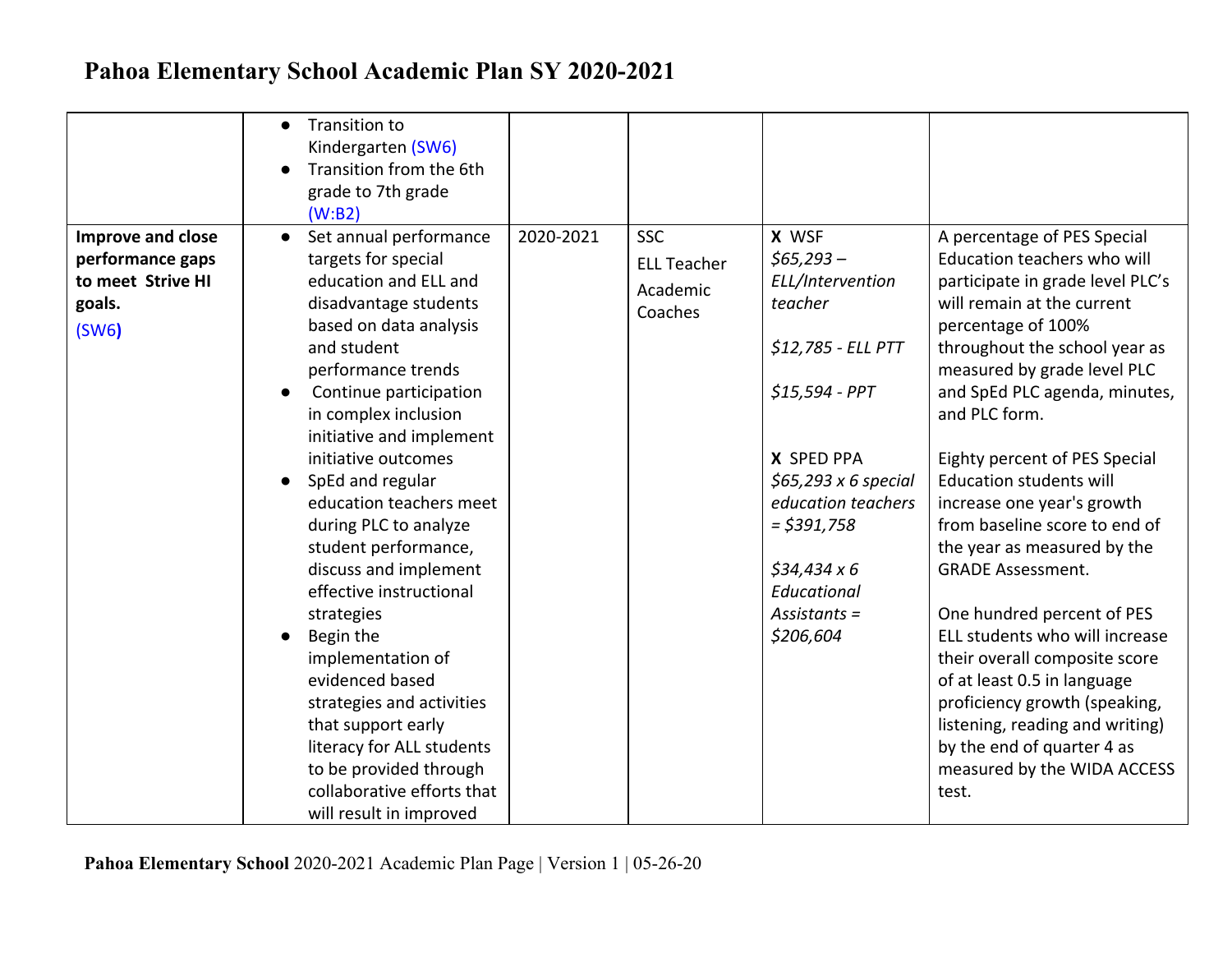|                                                                                      | Transition to<br>$\bullet$<br>Kindergarten (SW6)<br>Transition from the 6th<br>grade to 7th grade<br>(W:B2)                                                                                                                                                                                                                                                                                                                                                                                                                                                                                                                                                                             |           |                                                         |                                                                                                                                                                                                                                                    |                                                                                                                                                                                                                                                                                                                                                                                                                                                                                                                                                                                                                                                                                                                                             |
|--------------------------------------------------------------------------------------|-----------------------------------------------------------------------------------------------------------------------------------------------------------------------------------------------------------------------------------------------------------------------------------------------------------------------------------------------------------------------------------------------------------------------------------------------------------------------------------------------------------------------------------------------------------------------------------------------------------------------------------------------------------------------------------------|-----------|---------------------------------------------------------|----------------------------------------------------------------------------------------------------------------------------------------------------------------------------------------------------------------------------------------------------|---------------------------------------------------------------------------------------------------------------------------------------------------------------------------------------------------------------------------------------------------------------------------------------------------------------------------------------------------------------------------------------------------------------------------------------------------------------------------------------------------------------------------------------------------------------------------------------------------------------------------------------------------------------------------------------------------------------------------------------------|
| <b>Improve and close</b><br>performance gaps<br>to meet Strive HI<br>goals.<br>(SW6) | Set annual performance<br>$\bullet$<br>targets for special<br>education and ELL and<br>disadvantage students<br>based on data analysis<br>and student<br>performance trends<br>Continue participation<br>$\bullet$<br>in complex inclusion<br>initiative and implement<br>initiative outcomes<br>SpEd and regular<br>education teachers meet<br>during PLC to analyze<br>student performance,<br>discuss and implement<br>effective instructional<br>strategies<br>Begin the<br>implementation of<br>evidenced based<br>strategies and activities<br>that support early<br>literacy for ALL students<br>to be provided through<br>collaborative efforts that<br>will result in improved | 2020-2021 | <b>SSC</b><br><b>ELL Teacher</b><br>Academic<br>Coaches | X WSF<br>$$65,293-$<br>ELL/Intervention<br>teacher<br>\$12,785 - ELL PTT<br>$$15,594$ - PPT<br>X SPED PPA<br>$$65,293 \times 6$ special<br>education teachers<br>$=$ \$391,758<br>$$34,434 \times 6$<br>Educational<br>$Assistants =$<br>\$206,604 | A percentage of PES Special<br>Education teachers who will<br>participate in grade level PLC's<br>will remain at the current<br>percentage of 100%<br>throughout the school year as<br>measured by grade level PLC<br>and SpEd PLC agenda, minutes,<br>and PLC form.<br>Eighty percent of PES Special<br><b>Education students will</b><br>increase one year's growth<br>from baseline score to end of<br>the year as measured by the<br><b>GRADE Assessment.</b><br>One hundred percent of PES<br>ELL students who will increase<br>their overall composite score<br>of at least 0.5 in language<br>proficiency growth (speaking,<br>listening, reading and writing)<br>by the end of quarter 4 as<br>measured by the WIDA ACCESS<br>test. |